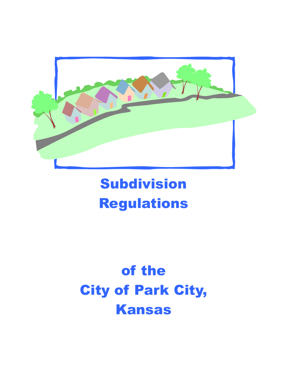

# Subdivision Regulations

# of the City of Park City, Kansas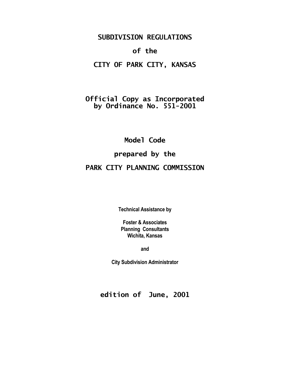# **SUBDIVISION REGULATIONS**

# **of the**

# **CITY OF PARK CITY, KANSAS**

# **Official Copy as Incorporated by Ordinance No. 551-2001**

**Model Code prepared by the PARK CITY PLANNING COMMISSION**

**Technical Assistance by**

**Foster & Associates Planning Consultants Wichita, Kansas**

**and**

**City Subdivision Administrator**

**edition of June, 2001**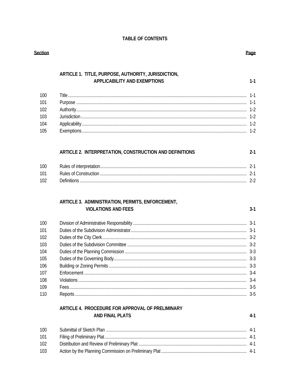# TABLE OF CONTENTS

| Section |                                                                                            | Page    |
|---------|--------------------------------------------------------------------------------------------|---------|
|         |                                                                                            |         |
|         | ARTICLE 1. TITLE, PURPOSE, AUTHORITY, JURISDICTION,<br><b>APPLICABILITY AND EXEMPTIONS</b> | $1 - 1$ |
|         |                                                                                            |         |
| 100     |                                                                                            |         |
| 101     |                                                                                            |         |
| 102     |                                                                                            |         |
| 103     |                                                                                            |         |
| 104     |                                                                                            |         |
| 105     |                                                                                            | $1-2$   |
|         | ARTICLE 2. INTERPRETATION, CONSTRUCTION AND DEFINITIONS                                    | $2 - 1$ |
| 100     |                                                                                            |         |
| 101     |                                                                                            |         |
| 102     |                                                                                            |         |
|         | ARTICLE 3. ADMINISTRATION, PERMITS, ENFORCEMENT,<br><b>VIOLATIONS AND FEES</b>             | $3-1$   |
|         |                                                                                            |         |
| 100     |                                                                                            |         |
| 101     |                                                                                            |         |
| 102     |                                                                                            |         |
| 103     |                                                                                            |         |
| 104     |                                                                                            |         |
| 105     |                                                                                            |         |
| 106     |                                                                                            | $3-3$   |
| 107     |                                                                                            | $3-4$   |
| 108     |                                                                                            | $3-4$   |
| 109     |                                                                                            |         |
| 110     |                                                                                            | $3-5$   |
|         | ARTICLE 4. PROCEDURE FOR APPROVAL OF PRELIMINARY                                           |         |
|         | <b>AND FINAL PLATS</b>                                                                     | $4-1$   |
| 100     |                                                                                            | $4-1$   |
| 101     |                                                                                            | $4-1$   |
| 102     |                                                                                            | 4-1     |

103

# ge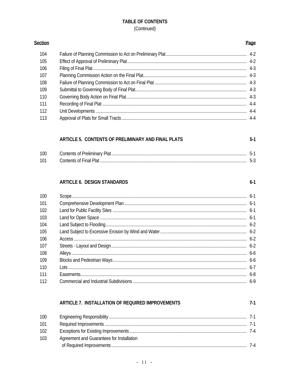# **TABLE OF CONTENTS** (Continued)

| 104 |  |
|-----|--|
| 105 |  |
| 106 |  |
| 107 |  |
| 108 |  |
| 109 |  |
| 110 |  |
| 111 |  |
| 112 |  |
| 113 |  |
|     |  |

# ARTICLE 5. CONTENTS OF PRELIMINARY AND FINAL PLATS

| 100 |  |
|-----|--|
| 101 |  |

# ARTICLE 6. DESIGN STANDARDS

Section

| 100 |  |
|-----|--|
| 101 |  |
| 102 |  |
| 103 |  |
| 104 |  |
| 105 |  |
| 106 |  |
| 107 |  |
| 108 |  |
| 109 |  |
| 110 |  |
| 111 |  |
| 112 |  |

# ARTICLE 7. INSTALLATION OF REQUIRED IMPROVEMENTS

| 100 |                                           |  |
|-----|-------------------------------------------|--|
| 101 |                                           |  |
| 102 |                                           |  |
| 103 | Agreement and Guarantees for Installation |  |
|     |                                           |  |

#### Page

 $5-1$ 

 $6-1$ 

 $7-1$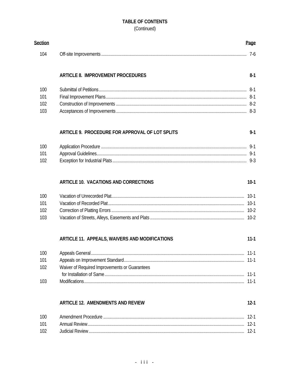# TABLE OF CONTENTS (Continued)

| Section |                                                 | Page     |
|---------|-------------------------------------------------|----------|
| 104     |                                                 | $7-6$    |
|         | <b>ARTICLE 8. IMPROVEMENT PROCEDURES</b>        | $8-1$    |
| 100     |                                                 |          |
| 101     |                                                 | -8-1     |
| 102     |                                                 |          |
| 103     |                                                 | $8-3$    |
|         | ARTICLE 9. PROCEDURE FOR APPROVAL OF LOT SPLITS | $9 - 1$  |
| 100     |                                                 |          |
| 101     |                                                 | $9-1$    |
| 102     |                                                 |          |
|         | ARTICLE 10. VACATIONS AND CORRECTIONS           | $10-1$   |
| 100     |                                                 | $10-1$   |
| 101     |                                                 | $10-1$   |
| 102     |                                                 | $10-2$   |
| 103     |                                                 |          |
|         | ARTICLE 11. APPEALS, WAIVERS AND MODIFICATIONS  | $11 - 1$ |
| 100     |                                                 | $11-1$   |
| 101     |                                                 | $11-1$   |
| 102     | Waiver of Required Improvements or Guarantees   | $11 - 1$ |
| 103     |                                                 | $11-1$   |
|         | <b>ARTICLE 12. AMENDMENTS AND REVIEW</b>        | $12 - 1$ |
| 100     |                                                 | $12-1$   |
| 101     |                                                 | $12-1$   |
| 102     |                                                 | $12-1$   |
|         |                                                 |          |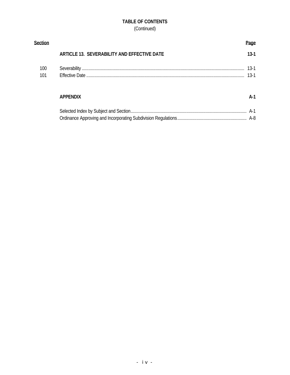# **TABLE OF CONTENTS** (Continued)

| Section |                                             | Page   |
|---------|---------------------------------------------|--------|
|         | ARTICLE 13. SEVERABILITY AND EFFECTIVE DATE | $13-1$ |
| 100     |                                             |        |
| 101     |                                             | $13-1$ |
|         | <b>APPENDIX</b>                             | $A-1$  |
|         |                                             |        |
|         |                                             |        |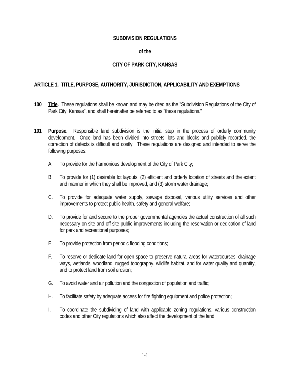#### **SUBDIVISION REGULATIONS**

#### **of the**  $\overline{\phantom{a}}$

#### **CITY OF PARK CITY, KANSAS**

#### **ARTICLE 1. TITLE, PURPOSE, AUTHORITY, JURISDICTION, APPLICABILITY AND EXEMPTIONS**

- **100 Title.** These regulations shall be known and may be cited as the "Subdivision Regulations of the City of Park City, Kansas", and shall hereinafter be referred to as "these regulations."
- **101 Purpose.** Responsible land subdivision is the initial step in the process of orderly community development. Once land has been divided into streets, lots and blocks and publicly recorded, the correction of defects is difficult and costly. These regulations are designed and intended to serve the following purposes:
	- A. To provide for the harmonious development of the City of Park City;
	- B. To provide for (1) desirable lot layouts, (2) efficient and orderly location of streets and the extent and manner in which they shall be improved, and (3) storm water drainage;
	- C. To provide for adequate water supply, sewage disposal, various utility services and other improvements to protect public health, safety and general welfare;
	- D. To provide for and secure to the proper governmental agencies the actual construction of all such necessary on-site and off-site public improvements including the reservation or dedication of land for park and recreational purposes;
	- E. To provide protection from periodic flooding conditions;
	- F. To reserve or dedicate land for open space to preserve natural areas for watercourses, drainage ways, wetlands, woodland, rugged topography, wildlife habitat, and for water quality and quantity, and to protect land from soil erosion;
	- G. To avoid water and air pollution and the congestion of population and traffic;
	- H. To facilitate safety by adequate access for fire fighting equipment and police protection;
	- I. To coordinate the subdividing of land with applicable zoning regulations, various construction codes and other City regulations which also affect the development of the land;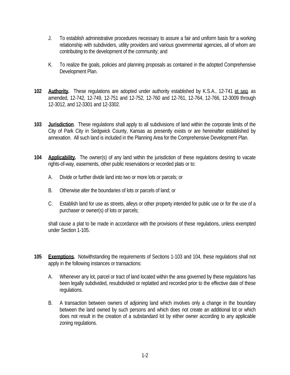- J. To establish administrative procedures necessary to assure a fair and uniform basis for a working relationship with subdividers, utility providers and various governmental agencies, all of whom are contributing to the development of the community; and
- K. To realize the goals, policies and planning proposals as contained in the adopted Comprehensive Development Plan.
- **102 Authority.** These regulations are adopted under authority established by K.S.A., 12-741 et seq. as amended, 12-742, 12-749, 12-751 and 12-752, 12-760 and 12-761, 12-764, 12-766, 12-3009 through 12-3012, and 12-3301 and 12-3302.
- **103 Jurisdiction**. These regulations shall apply to all subdivisions of land within the corporate limits of the City of Park City in Sedgwick County, Kansas as presently exists or are hereinafter established by annexation. All such land is included in the Planning Area for the Comprehensive Development Plan.
- **104 Applicability.** The owner(s) of any land within the jurisdiction of these regulations desiring to vacate rights-of-way, easements, other public reservations or recorded plats or to:
	- A. Divide or further divide land into two or more lots or parcels; or
	- B. Otherwise alter the boundaries of lots or parcels of land; or
	- C. Establish land for use as streets, alleys or other property intended for public use or for the use of a purchaser or owner(s) of lots or parcels;

 shall cause a plat to be made in accordance with the provisions of these regulations, unless exempted under Section 1-105.

- **105 Exemptions.** Notwithstanding the requirements of Sections 1-103 and 104, these regulations shall not apply in the following instances or transactions:
	- A. Whenever any lot, parcel or tract of land located within the area governed by these regulations has been legally subdivided, resubdivided or replatted and recorded prior to the effective date of these regulations.
	- B. A transaction between owners of adjoining land which involves only a change in the boundary between the land owned by such persons and which does not create an additional lot or which does not result in the creation of a substandard lot by either owner according to any applicable zoning regulations.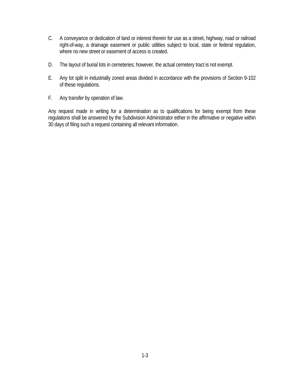- C. A conveyance or dedication of land or interest therein for use as a street, highway, road or railroad right-of-way, a drainage easement or public utilities subject to local, state or federal regulation, where no new street or easement of access is created.
- D. The layout of burial lots in cemeteries; however, the actual cemetery tract is not exempt.
- E. Any lot split in industrially zoned areas divided in accordance with the provisions of Section 9-102 of these regulations.
- F. Any transfer by operation of law.

 Any request made in writing for a determination as to qualifications for being exempt from these regulations shall be answered by the Subdivision Administrator either in the affirmative or negative within 30 days of filing such a request containing all relevant information.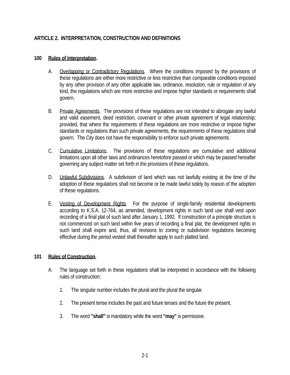# **ARTICLE 2. INTERPRETATION, CONSTRUCTION AND DEFINITIONS**

#### **100 Rules of Interpretation.**

- A. Overlapping or Contradictory Regulations. Where the conditions imposed by the provisions of these regulations are either more restrictive or less restrictive than comparable conditions imposed by any other provision of any other applicable law, ordinance, resolution, rule or regulation of any kind, the regulations which are more restrictive and impose higher standards or requirements shall govern.
- B. Private Agreements. The provisions of these regulations are not intended to abrogate any lawful and valid easement, deed restriction, covenant or other private agreement of legal relationship; provided, that where the requirements of these regulations are more restrictive or impose higher standards or regulations than such private agreements, the requirements of these regulations shall govern. The City does not have the responsibility to enforce such private agreements.
- C. Cumulative Limitations. The provisions of these regulations are cumulative and additional limitations upon all other laws and ordinances heretofore passed or which may be passed hereafter governing any subject matter set forth in the provisions of these regulations.
- D. **Unlawful Subdivisions.** A subdivision of land which was not lawfully existing at the time of the adoption of these regulations shall not become or be made lawful solely by reason of the adoption of these regulations.
- E. Vesting of Development Rights. For the purpose of single-family residential developments according to K.S.A. 12-764, as amended, development rights in such land use shall vest upon recording of a final plat of such land after January 1, 1992. If construction of a principle structure is not commenced on such land within five years of recording a final plat, the development rights in such land shall expire and, thus, all revisions to zoning or subdivision regulations becoming effective during the period vested shall thereafter apply to such platted land.

### **101 Rules of Construction.**

- A. The language set forth in these regulations shall be interpreted in accordance with the following rules of construction:
	- 1. The singular number includes the plural and the plural the singular.
	- 2. The present tense includes the past and future tenses and the future the present.
	- 3. The word **"shall"** is mandatory while the word **"may"** is permissive.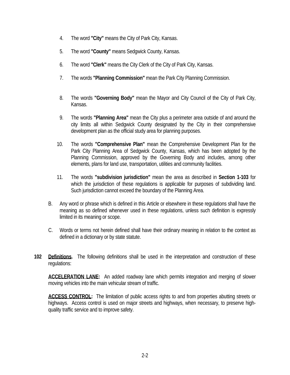- 4. The word **"City"** means the City of Park City, Kansas.
- 5. The word **"County"** means Sedgwick County, Kansas.
- 6. The word **"Clerk"** means the City Clerk of the City of Park City, Kansas.
- 7. The words **"Planning Commission"** mean the Park City Planning Commission.
- 8. The words **"Governing Body"** mean the Mayor and City Council of the City of Park City, Kansas.
- 9. The words **"Planning Area"** mean the City plus a perimeter area outside of and around the city limits all within Sedgwick County designated by the City in their comprehensive development plan as the official study area for planning purposes.
- 10. The words **"Comprehensive Plan"** mean the Comprehensive Development Plan for the Park City Planning Area of Sedgwick County, Kansas, which has been adopted by the Planning Commission, approved by the Governing Body and includes, among other elements, plans for land use, transportation, utilities and community facilities.
- 11. The words **"subdivision jurisdiction"** mean the area as described in **Section 1-103** for which the jurisdiction of these regulations is applicable for purposes of subdividing land. Such jurisdiction cannot exceed the boundary of the Planning Area.
- B. Any word or phrase which is defined in this Article or elsewhere in these regulations shall have the meaning as so defined whenever used in these regulations, unless such definition is expressly limited in its meaning or scope.
- C. Words or terms not herein defined shall have their ordinary meaning in relation to the context as defined in a dictionary or by state statute.
- **102 Definitions.** The following definitions shall be used in the interpretation and construction of these regulations:

**ACCELERATION LANE:** An added roadway lane which permits integration and merging of slower moving vehicles into the main vehicular stream of traffic.

**ACCESS CONTROL:** The limitation of public access rights to and from properties abutting streets or highways. Access control is used on major streets and highways, when necessary, to preserve highquality traffic service and to improve safety.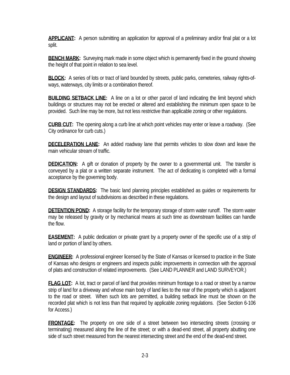**APPLICANT:** A person submitting an application for approval of a preliminary and/or final plat or a lot split.

**BENCH MARK:** Surveying mark made in some object which is permanently fixed in the ground showing the height of that point in relation to sea level.

**BLOCK:** A series of lots or tract of land bounded by streets, public parks, cemeteries, railway rights-ofways, waterways, city limits or a combination thereof.

**BUILDING SETBACK LINE:** A line on a lot or other parcel of land indicating the limit beyond which buildings or structures may not be erected or altered and establishing the minimum open space to be provided. Such line may be more, but not less restrictive than applicable zoning or other regulations.

**CURB CUT:** The opening along a curb line at which point vehicles may enter or leave a roadway. (See City ordinance for curb cuts.)

**DECELERATION LANE:** An added roadway lane that permits vehicles to slow down and leave the main vehicular stream of traffic.

**DEDICATION:** A gift or donation of property by the owner to a governmental unit. The transfer is conveyed by a plat or a written separate instrument. The act of dedicating is completed with a formal acceptance by the governing body.

**DESIGN STANDARDS:** The basic land planning principles established as guides or requirements for the design and layout of subdivisions as described in these regulations.

**DETENTION POND:** A storage facility for the temporary storage of storm water runoff. The storm water may be released by gravity or by mechanical means at such time as downstream facilities can handle the flow.

**EASEMENT:** A public dedication or private grant by a property owner of the specific use of a strip of land or portion of land by others.

**ENGINEER:** A professional engineer licensed by the State of Kansas or licensed to practice in the State of Kansas who designs or engineers and inspects public improvements in connection with the approval of plats and construction of related improvements. (See LAND PLANNER and LAND SURVEYOR.)

**FLAG LOT:** A lot, tract or parcel of land that provides minimum frontage to a road or street by a narrow strip of land for a driveway and whose main body of land lies to the rear of the property which is adjacent to the road or street. When such lots are permitted, a building setback line must be shown on the recorded plat which is not less than that required by applicable zoning regulations. (See Section 6-106 for Access.)

**FRONTAGE:** The property on one side of a street between two intersecting streets (crossing or terminating) measured along the line of the street; or with a dead-end street, all property abutting one side of such street measured from the nearest intersecting street and the end of the dead-end street.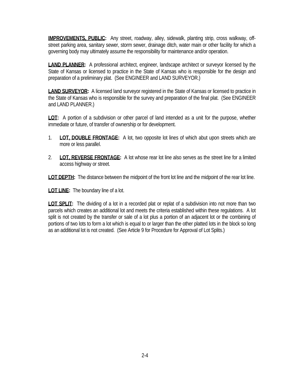**IMPROVEMENTS, PUBLIC:** Any street, roadway, alley, sidewalk, planting strip, cross walkway, offstreet parking area, sanitary sewer, storm sewer, drainage ditch, water main or other facility for which a governing body may ultimately assume the responsibility for maintenance and/or operation.

**LAND PLANNER:** A professional architect, engineer, landscape architect or surveyor licensed by the State of Kansas or licensed to practice in the State of Kansas who is responsible for the design and preparation of a preliminary plat. (See ENGINEER and LAND SURVEYOR.)

**LAND SURVEYOR:** A licensed land surveyor registered in the State of Kansas or licensed to practice in the State of Kansas who is responsible for the survey and preparation of the final plat. (See ENGINEER and LAND PLANNER.)

**LOT:** A portion of a subdivision or other parcel of land intended as a unit for the purpose, whether immediate or future, of transfer of ownership or for development.

- 1. **LOT, DOUBLE FRONTAGE:** A lot, two opposite lot lines of which abut upon streets which are more or less parallel.
- 2. **LOT, REVERSE FRONTAGE:** A lot whose rear lot line also serves as the street line for a limited access highway or street.

**LOT DEPTH:** The distance between the midpoint of the front lot line and the midpoint of the rear lot line.

**LOT LINE:** The boundary line of a lot.

**LOT SPLIT:** The dividing of a lot in a recorded plat or replat of a subdivision into not more than two parcels which creates an additional lot and meets the criteria established within these regulations. A lot split is not created by the transfer or sale of a lot plus a portion of an adjacent lot or the combining of portions of two lots to form a lot which is equal to or larger than the other platted lots in the block so long as an additional lot is not created. (See Article 9 for Procedure for Approval of Lot Splits.)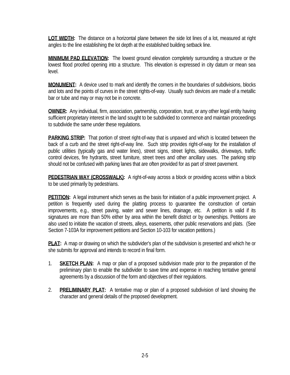**LOT WIDTH:** The distance on a horizontal plane between the side lot lines of a lot, measured at right angles to the line establishing the lot depth at the established building setback line.

**MINIMUM PAD ELEVATION:** The lowest ground elevation completely surrounding a structure or the lowest flood proofed opening into a structure. This elevation is expressed in city datum or mean sea level.

**MONUMENT:** A device used to mark and identify the corners in the boundaries of subdivisions, blocks and lots and the points of curves in the street rights-of-way. Usually such devices are made of a metallic bar or tube and may or may not be in concrete.

**OWNER:** Any individual, firm, association, partnership, corporation, trust, or any other legal entity having sufficient proprietary interest in the land sought to be subdivided to commence and maintain proceedings to subdivide the same under these regulations.

**PARKING STRIP:** That portion of street right-of-way that is unpaved and which is located between the back of a curb and the street right-of-way line. Such strip provides right-of-way for the installation of public utilities (typically gas and water lines), street signs, street lights, sidewalks, driveways, traffic control devices, fire hydrants, street furniture, street trees and other ancillary uses. The parking strip should not be confused with parking lanes that are often provided for as part of street pavement.

**PEDESTRIAN WAY (CROSSWALK):** A right-of-way across a block or providing access within a block to be used primarily by pedestrians.

**PETITION:** A legal instrument which serves as the basis for initiation of a public improvement project. A petition is frequently used during the platting process to guarantee the construction of certain improvements, e.g., street paving, water and sewer lines, drainage, etc. A petition is valid if its signatures are more than 50% either by area within the benefit district or by ownerships. Petitions are also used to initiate the vacation of streets, alleys, easements, other public reservations and plats. (See Section 7-103A for improvement petitions and Section 10-103 for vacation petitions.)

**PLAT:** A map or drawing on which the subdivider's plan of the subdivision is presented and which he or she submits for approval and intends to record in final form.

- 1. **SKETCH PLAN:** A map or plan of a proposed subdivision made prior to the preparation of the preliminary plan to enable the subdivider to save time and expense in reaching tentative general agreements by a discussion of the form and objectives of their regulations.
- 2. **PRELIMINARY PLAT:** A tentative map or plan of a proposed subdivision of land showing the character and general details of the proposed development.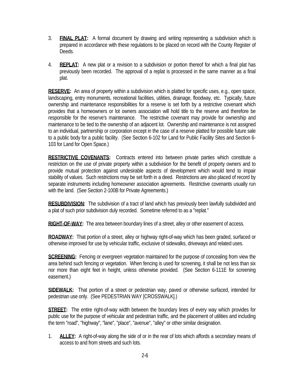- 3. **FINAL PLAT:** A formal document by drawing and writing representing a subdivision which is prepared in accordance with these regulations to be placed on record with the County Register of Deeds.
- 4. **REPLAT:** A new plat or a revision to a subdivision or portion thereof for which a final plat has previously been recorded. The approval of a replat is processed in the same manner as a final plat.

**RESERVE:** An area of property within a subdivision which is platted for specific uses, e.g., open space, landscaping, entry monuments, recreational facilities, utilities, drainage, floodway, etc. Typically, future ownership and maintenance responsibilities for a reserve is set forth by a restrictive covenant which provides that a homeowners or lot owners association will hold title to the reserve and therefore be responsible for the reserve's maintenance. The restrictive covenant may provide for ownership and maintenance to be tied to the ownership of an adjacent lot. Ownership and maintenance is not assigned to an individual, partnership or corporation except in the case of a reserve platted for possible future sale to a public body for a public facility. (See Section 6-102 for Land for Public Facility Sites and Section 6- 103 for Land for Open Space.)

**RESTRICTIVE COVENANTS:** Contracts entered into between private parties which constitute a restriction on the use of private property within a subdivision for the benefit of property owners and to provide mutual protection against undesirable aspects of development which would tend to impair stability of values. Such restrictions may be set forth in a deed. Restrictions are also placed of record by separate instruments including homeowner association agreements. Restrictive covenants usually run with the land. (See Section 2-100B for Private Agreements.)

**RESUBDIVISION:** The subdivision of a tract of land which has previously been lawfully subdivided and a plat of such prior subdivision duly recorded. Sometime referred to as a "replat."

**RIGHT-OF-WAY:** The area between boundary lines of a street, alley or other easement of access.

**ROADWAY:** That portion of a street, alley or highway right-of-way which has been graded, surfaced or otherwise improved for use by vehicular traffic, exclusive of sidewalks, driveways and related uses.

**SCREENING:** Fencing or evergreen vegetation maintained for the purpose of concealing from view the area behind such fencing or vegetation. When fencing is used for screening, it shall be not less than six nor more than eight feet in height, unless otherwise provided. (See Section 6-111E for screening easement.)

**SIDEWALK:** That portion of a street or pedestrian way, paved or otherwise surfaced, intended for pedestrian use only. (See PEDESTRIAN WAY [CROSSWALK].)

**STREET:** The entire right-of-way width between the boundary lines of every way which provides for public use for the purpose of vehicular and pedestrian traffic, and the placement of utilities and including the term "road", "highway", "lane", "place", "avenue", "alley" or other similar designation.

 1. **ALLEY:** A right-of-way along the side of or in the rear of lots which affords a secondary means of access to and from streets and such lots.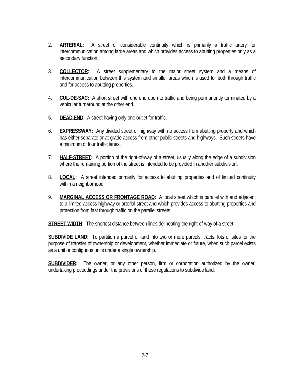- 2. **ARTERIAL:** A street of considerable continuity which is primarily a traffic artery for intercommunication among large areas and which provides access to abutting properties only as a secondary function.
- 3. **COLLECTOR:** A street supplementary to the major street system and a means of intercommunication between this system and smaller areas which is used for both through traffic and for access to abutting properties.
- 4. **CUL-DE-SAC:** A short street with one end open to traffic and being permanently terminated by a vehicular turnaround at the other end.
- 5. **DEAD END:** A street having only one outlet for traffic.
- 6. **EXPRESSWAY:** Any divided street or highway with no access from abutting property and which has either separate or at-grade access from other public streets and highways. Such streets have a minimum of four traffic lanes.
- 7. **HALF-STREET:** A portion of the right-of-way of a street, usually along the edge of a subdivision where the remaining portion of the street is intended to be provided in another subdivision.
- 8. **LOCAL:** A street intended primarily for access to abutting properties and of limited continuity within a neighborhood.
- 9. **MARGINAL ACCESS OR FRONTAGE ROAD:** A local street which is parallel with and adjacent to a limited access highway or arterial street and which provides access to abutting properties and protection from fast through traffic on the parallel streets.

**STREET WIDTH:** The shortest distance between lines delineating the right-of-way of a street.

**SUBDIVIDE LAND:** To partition a parcel of land into two or more parcels, tracts, lots or sites for the purpose of transfer of ownership or development, whether immediate or future, when such parcel exists as a unit or contiguous units under a single ownership.

**SUBDIVIDER:** The owner, or any other person, firm or corporation authorized by the owner, undertaking proceedings under the provisions of these regulations to subdivide land.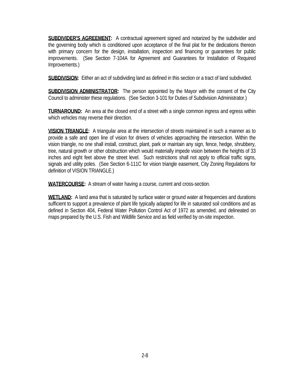**SUBDIVIDER'S AGREEMENT:** A contractual agreement signed and notarized by the subdivider and the governing body which is conditioned upon acceptance of the final plat for the dedications thereon with primary concern for the design, installation, inspection and financing or guarantees for public improvements. (See Section 7-104A for Agreement and Guarantees for Installation of Required Improvements.)

**SUBDIVISION:** Either an act of subdividing land as defined in this section or a tract of land subdivided.

**SUBDIVISION ADMINISTRATOR:** The person appointed by the Mayor with the consent of the City Council to administer these regulations. (See Section 3-101 for Duties of Subdivision Administrator.)

**TURNAROUND:** An area at the closed end of a street with a single common ingress and egress within which vehicles may reverse their direction.

**VISION TRIANGLE:** A triangular area at the intersection of streets maintained in such a manner as to provide a safe and open line of vision for drivers of vehicles approaching the intersection. Within the vision triangle, no one shall install, construct, plant, park or maintain any sign, fence, hedge, shrubbery, tree, natural growth or other obstruction which would materially impede vision between the heights of 33 inches and eight feet above the street level. Such restrictions shall not apply to official traffic signs, signals and utility poles. (See Section 6-111C for vision triangle easement, City Zoning Regulations for definition of VISION TRIANGLE.)

**WATERCOURSE:** A stream of water having a course, current and cross-section.

**WETLAND:** A land area that is saturated by surface water or ground water at frequencies and durations sufficient to support a prevalence of plant life typically adapted for life in saturated soil conditions and as defined in Section 404, Federal Water Pollution Control Act of 1972 as amended, and delineated on maps prepared by the U.S. Fish and Wildlife Service and as field verified by on-site inspection.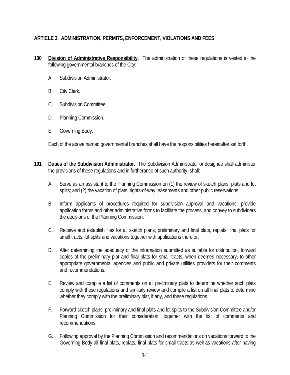# **ARTICLE 3. ADMINISTRATION, PERMITS, ENFORCEMENT, VIOLATIONS AND FEES**

- **100 Division of Administrative Responsibility.** The administration of these regulations is vested in the following governmental branches of the City:
	- A. Subdivision Administrator.
	- B. City Clerk.
	- C. Subdivision Committee.
	- D. Planning Commission.
	- E. Governing Body.

Each of the above named governmental branches shall have the responsibilities hereinafter set forth.

- **101 Duties of the Subdivision Administrator.** The Subdivision Administrator or designee shall administer the provisions of these regulations and in furtherance of such authority, shall:
	- A. Serve as an assistant to the Planning Commission on (1) the review of sketch plans, plats and lot splits; and (2) the vacation of plats, rights-of-way, easements and other public reservations.
	- B. Inform applicants of procedures required for subdivision approval and vacations, provide application forms and other administrative forms to facilitate the process, and convey to subdividers the decisions of the Planning Commission.
	- C. Receive and establish files for all sketch plans, preliminary and final plats, replats, final plats for small tracts, lot splits and vacations together with applications therefor.
	- D. After determining the adequacy of the information submitted as suitable for distribution, forward copies of the preliminary plat and final plats for small tracts, when deemed necessary, to other appropriate governmental agencies and public and private utilities providers for their comments and recommendations.
	- E. Review and compile a list of comments on all preliminary plats to determine whether such plats comply with these regulations and similarly review and compile a list on all final plats to determine whether they comply with the preliminary plat, if any, and these regulations.
	- F. Forward sketch plans, preliminary and final plats and lot splits to the Subdivision Committee and/or Planning Commission for their consideration, together with the list of comments and recommendations.
	- G. Following approval by the Planning Commission and recommendations on vacations forward to the Governing Body all final plats, replats, final plats for small tracts as well as vacations after having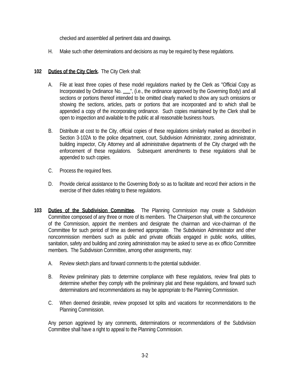checked and assembled all pertinent data and drawings.

H. Make such other determinations and decisions as may be required by these regulations.

# **102 Duties of the City Clerk.** The City Clerk shall:

- A. File at least three copies of these model regulations marked by the Clerk as "Official Copy as Incorporated by Ordinance No. \_\_", (i.e., the ordinance approved by the Governing Body) and all sections or portions thereof intended to be omitted clearly marked to show any such omissions or showing the sections, articles, parts or portions that are incorporated and to which shall be appended a copy of the incorporating ordinance. Such copies maintained by the Clerk shall be open to inspection and available to the public at all reasonable business hours.
- B. Distribute at cost to the City, official copies of these regulations similarly marked as described in Section 3-102A to the police department, court, Subdivision Administrator, zoning administrator, building inspector, City Attorney and all administrative departments of the City charged with the enforcement of these regulations. Subsequent amendments to these regulations shall be appended to such copies.
- C. Process the required fees.
- D. Provide clerical assistance to the Governing Body so as to facilitate and record their actions in the exercise of their duties relating to these regulations.
- **103 Duties of the Subdivision Committee.** The Planning Commission may create a Subdivision Committee composed of any three or more of its members. The Chairperson shall, with the concurrence of the Commission, appoint the members and designate the chairman and vice-chairman of the Committee for such period of time as deemed appropriate. The Subdivision Administrator and other noncommission members such as public and private officials engaged in public works, utilities, sanitation, safety and building and zoning administration may be asked to serve as ex officio Committee members. The Subdivision Committee, among other assignments, may:
	- A. Review sketch plans and forward comments to the potential subdivider.
	- B. Review preliminary plats to determine compliance with these regulations, review final plats to determine whether they comply with the preliminary plat and these regulations, and forward such determinations and recommendations as may be appropriate to the Planning Commission.
	- C. When deemed desirable, review proposed lot splits and vacations for recommendations to the Planning Commission.

 Any person aggrieved by any comments, determinations or recommendations of the Subdivision Committee shall have a right to appeal to the Planning Commission.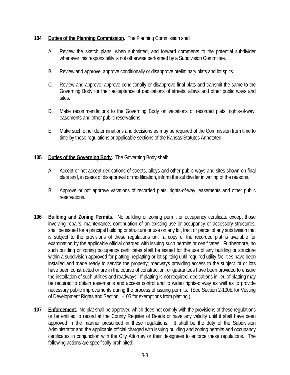#### **104 Duties of the Planning Commission.** The Planning Commission shall:

- A. Review the sketch plans, when submitted, and forward comments to the potential subdivider whenever this responsibility is not otherwise performed by a Subdivision Committee.
- B. Review and approve, approve conditionally or disapprove preliminary plats and lot splits.
- C. Review and approve, approve conditionally or disapprove final plats and transmit the same to the Governing Body for their acceptance of dedications of streets, alleys and other public ways and sites.
- D. Make recommendations to the Governing Body on vacations of recorded plats, rights-of-way, easements and other public reservations.
- E. Make such other determinations and decisions as may be required of the Commission from time to time by these regulations or applicable sections of the Kansas Statutes Annotated.

#### **105 Duties of the Governing Body.** The Governing Body shall:

- A. Accept or not accept dedications of streets, alleys and other public ways and sites shown on final plats and, in cases of disapproval or modification, inform the subdivider in writing of the reasons.
- B. Approve or not approve vacations of recorded plats, rights-of-way, easements and other public reservations.
- **106 Building and Zoning Permits.** No building or zoning permit or occupancy certificate except those involving repairs, maintenance, continuation of an existing use or occupancy or accessory structures, shall be issued for a principal building or structure or use on any lot, tract or parcel of any subdivision that is subject to the provisions of these regulations until a copy of the recorded plat is available for examination by the applicable official charged with issuing such permits or certificates. Furthermore, no such building or zoning occupancy certificates shall be issued for the use of any building or structure within a subdivision approved for platting, replatting or lot splitting until required utility facilities have been installed and made ready to service the property; roadways providing access to the subject lot or lots have been constructed or are in the course of construction; or guarantees have been provided to ensure the installation of such utilities and roadways. If platting is not required, dedications in lieu of platting may be required to obtain easements and access control and to widen rights-of-way as well as to provide necessary public improvements during the process of issuing permits. (See Section 2-100E for Vesting of Development Rights and Section 1-105 for exemptions from platting.)
- **107 Enforcement.** No plat shall be approved which does not comply with the provisions of these regulations or be entitled to record at the County Register of Deeds or have any validity until it shall have been approved in the manner prescribed in these regulations. It shall be the duty of the Subdivision Administrator and the applicable official charged with issuing building and zoning permits and occupancy certificates in conjunction with the City Attorney or their designees to enforce these regulations. The following actions are specifically prohibited: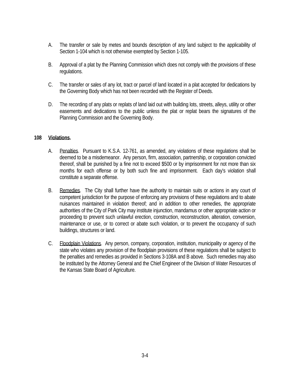- A. The transfer or sale by metes and bounds description of any land subject to the applicability of Section 1-104 which is not otherwise exempted by Section 1-105.
- B. Approval of a plat by the Planning Commission which does not comply with the provisions of these regulations.
- C. The transfer or sales of any lot, tract or parcel of land located in a plat accepted for dedications by the Governing Body which has not been recorded with the Register of Deeds.
- D. The recording of any plats or replats of land laid out with building lots, streets, alleys, utility or other easements and dedications to the public unless the plat or replat bears the signatures of the Planning Commission and the Governing Body.

#### **108 Violations.**

- A. Penalties. Pursuant to K.S.A. 12-761, as amended, any violations of these regulations shall be deemed to be a misdemeanor. Any person, firm, association, partnership, or corporation convicted thereof, shall be punished by a fine not to exceed \$500 or by imprisonment for not more than six months for each offense or by both such fine and imprisonment. Each day's violation shall constitute a separate offense.
- B. Remedies. The City shall further have the authority to maintain suits or actions in any court of competent jurisdiction for the purpose of enforcing any provisions of these regulations and to abate nuisances maintained in violation thereof; and in addition to other remedies, the appropriate authorities of the City of Park City may institute injunction, mandamus or other appropriate action or proceeding to prevent such unlawful erection, construction, reconstruction, alteration, conversion, maintenance or use, or to correct or abate such violation, or to prevent the occupancy of such buildings, structures or land.
- C. Floodplain Violations. Any person, company, corporation, institution, municipality or agency of the state who violates any provision of the floodplain provisions of these regulations shall be subject to the penalties and remedies as provided in Sections 3-108A and B above. Such remedies may also be instituted by the Attorney General and the Chief Engineer of the Division of Water Resources of the Kansas State Board of Agriculture.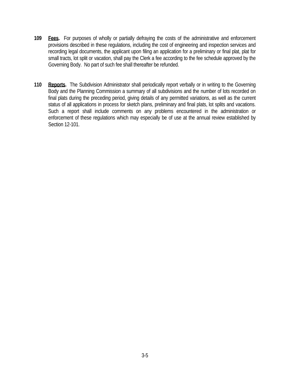- **109 Fees.** For purposes of wholly or partially defraying the costs of the administrative and enforcement provisions described in these regulations, including the cost of engineering and inspection services and recording legal documents, the applicant upon filing an application for a preliminary or final plat, plat for small tracts, lot split or vacation, shall pay the Clerk a fee according to the fee schedule approved by the Governing Body. No part of such fee shall thereafter be refunded.
- **110 Reports.** The Subdivision Administrator shall periodically report verbally or in writing to the Governing Body and the Planning Commission a summary of all subdivisions and the number of lots recorded on final plats during the preceding period, giving details of any permitted variations, as well as the current status of all applications in process for sketch plans, preliminary and final plats, lot splits and vacations. Such a report shall include comments on any problems encountered in the administration or enforcement of these regulations which may especially be of use at the annual review established by Section 12-101.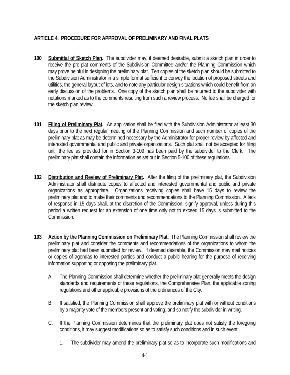# **ARTICLE 4. PROCEDURE FOR APPROVAL OF PRELIMINARY AND FINAL PLATS**

- **100 Submittal of Sketch Plan.** The subdivider may, if deemed desirable, submit a sketch plan in order to receive the pre-plat comments of the Subdivision Committee and/or the Planning Commission which may prove helpful in designing the preliminary plat. Ten copies of the sketch plan should be submitted to the Subdivision Administrator in a simple format sufficient to convey the location of proposed streets and utilities, the general layout of lots, and to note any particular design situations which could benefit from an early discussion of the problems. One copy of the sketch plan shall be returned to the subdivider with notations marked as to the comments resulting from such a review process. No fee shall be charged for the sketch plan review.
- **101 Filing of Preliminary Plat.** An application shall be filed with the Subdivision Administrator at least 30 days prior to the next regular meeting of the Planning Commission and such number of copies of the preliminary plat as may be determined necessary by the Administrator for proper review by affected and interested governmental and public and private organizations. Such plat shall not be accepted for filing until the fee as provided for in Section 3-109 has been paid by the subdivider to the Clerk. The preliminary plat shall contain the information as set out in Section 5-100 of these regulations.
- **102 Distribution and Review of Preliminary Plat.** After the filing of the preliminary plat, the Subdivision Administrator shall distribute copies to affected and interested governmental and public and private organizations as appropriate. Organizations receiving copies shall have 15 days to review the preliminary plat and to make their comments and recommendations to the Planning Commission. A lack of response in 15 days shall, at the discretion of the Commission, signify approval, unless during this period a written request for an extension of one time only not to exceed 15 days is submitted to the Commission.
- **103 Action by the Planning Commission on Preliminary Plat.** The Planning Commission shall review the preliminary plat and consider the comments and recommendations of the organizations to whom the preliminary plat had been submitted for review. If deemed desirable, the Commission may mail notices or copies of agendas to interested parties and conduct a public hearing for the purpose of receiving information supporting or opposing the preliminary plat.
	- A. The Planning Commission shall determine whether the preliminary plat generally meets the design standards and requirements of these regulations, the Comprehensive Plan, the applicable zoning regulations and other applicable provisions of the ordinances of the City.
	- B. If satisfied, the Planning Commission shall approve the preliminary plat with or without conditions by a majority vote of the members present and voting, and so notify the subdivider in writing.
	- C. If the Planning Commission determines that the preliminary plat does not satisfy the foregoing conditions, it may suggest modifications so as to satisfy such conditions and in such event:
		- 1. The subdivider may amend the preliminary plat so as to incorporate such modifications and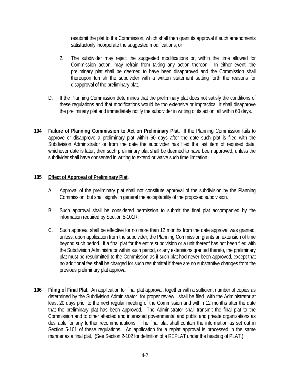resubmit the plat to the Commission, which shall then grant its approval if such amendments satisfactorily incorporate the suggested modifications; or

- 2. The subdivider may reject the suggested modifications or, within the time allowed for Commission action, may refrain from taking any action thereon. In either event, the preliminary plat shall be deemed to have been disapproved and the Commission shall thereupon furnish the subdivider with a written statement setting forth the reasons for disapproval of the preliminary plat.
- D. If the Planning Commission determines that the preliminary plat does not satisfy the conditions of these regulations and that modifications would be too extensive or impractical, it shall disapprove the preliminary plat and immediately notify the subdivider in writing of its action, all within 60 days.
- **104 Failure of Planning Commission to Act on Preliminary Plat.** If the Planning Commission fails to approve or disapprove a preliminary plat within 60 days after the date such plat is filed with the Subdivision Administrator or from the date the subdivider has filed the last item of required data, whichever date is later, then such preliminary plat shall be deemed to have been approved, unless the subdivider shall have consented in writing to extend or waive such time limitation.

### **105 Effect of Approval of Preliminary Plat.**

- A. Approval of the preliminary plat shall not constitute approval of the subdivision by the Planning Commission, but shall signify in general the acceptability of the proposed subdivision.
- B. Such approval shall be considered permission to submit the final plat accompanied by the information required by Section 5-101R.
- C. Such approval shall be effective for no more than 12 months from the date approval was granted, unless, upon application from the subdivider, the Planning Commission grants an extension of time beyond such period. If a final plat for the entire subdivision or a unit thereof has not been filed with the Subdivision Administrator within such period, or any extensions granted thereto, the preliminary plat must be resubmitted to the Commission as if such plat had never been approved, except that no additional fee shall be charged for such resubmittal if there are no substantive changes from the previous preliminary plat approval.
- **106 Filing of Final Plat.** An application for final plat approval, together with a sufficient number of copies as determined by the Subdivision Administrator for proper review, shall be filed with the Administrator at least 20 days prior to the next regular meeting of the Commission and within 12 months after the date that the preliminary plat has been approved. The Administrator shall transmit the final plat to the Commission and to other affected and interested governmental and public and private organizations as desirable for any further recommendations. The final plat shall contain the information as set out in Section 5-101 of these regulations. An application for a replat approval is processed in the same manner as a final plat. (See Section 2-102 for definition of a REPLAT under the heading of PLAT.)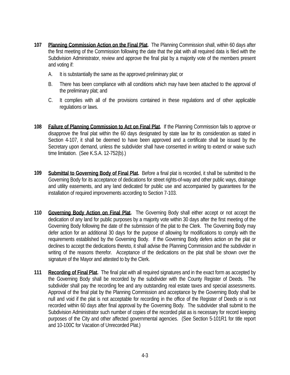- **107 Planning Commission Action on the Final Plat.** The Planning Commission shall, within 60 days after the first meeting of the Commission following the date that the plat with all required data is filed with the Subdivision Administrator, review and approve the final plat by a majority vote of the members present and voting if:
	- A. It is substantially the same as the approved preliminary plat; or
	- B. There has been compliance with all conditions which may have been attached to the approval of the preliminary plat; and
	- C. It complies with all of the provisions contained in these regulations and of other applicable regulations or laws.
- **108 Failure of Planning Commission to Act on Final Plat.** If the Planning Commission fails to approve or disapprove the final plat within the 60 days designated by state law for its consideration as stated in Section 4-107, it shall be deemed to have been approved and a certificate shall be issued by the Secretary upon demand, unless the subdivider shall have consented in writing to extend or waive such time limitation. (See K.S.A. 12-752(b).)
- **109 Submittal to Governing Body of Final Plat.** Before a final plat is recorded, it shall be submitted to the Governing Body for its acceptance of dedications for street rights-of-way and other public ways, drainage and utility easements, and any land dedicated for public use and accompanied by guarantees for the installation of required improvements according to Section 7-103.
- **110 Governing Body Action on Final Plat.** The Governing Body shall either accept or not accept the dedication of any land for public purposes by a majority vote within 30 days after the first meeting of the Governing Body following the date of the submission of the plat to the Clerk. The Governing Body may defer action for an additional 30 days for the purpose of allowing for modifications to comply with the requirements established by the Governing Body. If the Governing Body defers action on the plat or declines to accept the dedications thereto, it shall advise the Planning Commission and the subdivider in writing of the reasons therefor. Acceptance of the dedications on the plat shall be shown over the signature of the Mayor and attested to by the Clerk.
- **111 Recording of Final Plat.** The final plat with all required signatures and in the exact form as accepted by the Governing Body shall be recorded by the subdivider with the County Register of Deeds. The subdivider shall pay the recording fee and any outstanding real estate taxes and special assessments. Approval of the final plat by the Planning Commission and acceptance by the Governing Body shall be null and void if the plat is not acceptable for recording in the office of the Register of Deeds or is not recorded within 60 days after final approval by the Governing Body. The subdivider shall submit to the Subdivision Administrator such number of copies of the recorded plat as is necessary for record keeping purposes of the City and other affected governmental agencies. (See Section 5-101R1 for title report and 10-100C for Vacation of Unrecorded Plat.)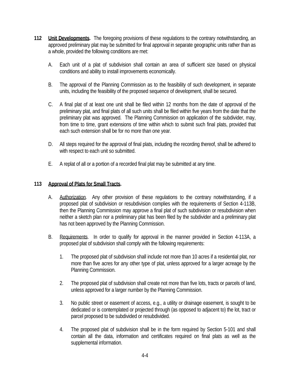- **112 Unit Developments.** The foregoing provisions of these regulations to the contrary notwithstanding, an approved preliminary plat may be submitted for final approval in separate geographic units rather than as a whole, provided the following conditions are met:
	- A. Each unit of a plat of subdivision shall contain an area of sufficient size based on physical conditions and ability to install improvements economically.
	- B. The approval of the Planning Commission as to the feasibility of such development, in separate units, including the feasibility of the proposed sequence of development, shall be secured.
	- C. A final plat of at least one unit shall be filed within 12 months from the date of approval of the preliminary plat, and final plats of all such units shall be filed within five years from the date that the preliminary plat was approved. The Planning Commission on application of the subdivider, may, from time to time, grant extensions of time within which to submit such final plats, provided that each such extension shall be for no more than one year.
	- D. All steps required for the approval of final plats, including the recording thereof, shall be adhered to with respect to each unit so submitted.
	- E. A replat of all or a portion of a recorded final plat may be submitted at any time.

#### **113 Approval of Plats for Small Tracts.**

- A. Authorization. Any other provision of these regulations to the contrary notwithstanding, if a proposed plat of subdivision or resubdivision complies with the requirements of Section 4-113B, then the Planning Commission may approve a final plat of such subdivision or resubdivision when neither a sketch plan nor a preliminary plat has been filed by the subdivider and a preliminary plat has not been approved by the Planning Commission.
- B. Requirements. In order to qualify for approval in the manner provided in Section 4-113A, a proposed plat of subdivision shall comply with the following requirements:
	- 1. The proposed plat of subdivision shall include not more than 10 acres if a residential plat, nor more than five acres for any other type of plat, unless approved for a larger acreage by the Planning Commission.
	- 2. The proposed plat of subdivision shall create not more than five lots, tracts or parcels of land, unless approved for a larger number by the Planning Commission.
	- 3. No public street or easement of access, e.g., a utility or drainage easement, is sought to be dedicated or is contemplated or projected through (as opposed to adjacent to) the lot, tract or parcel proposed to be subdivided or resubdivided.
	- 4. The proposed plat of subdivision shall be in the form required by Section 5-101 and shall contain all the data, information and certificates required on final plats as well as the supplemental information.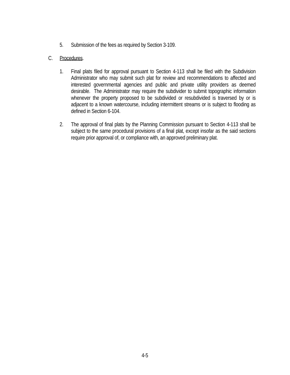5. Submission of the fees as required by Section 3-109.

## C. Procedures.

- 1. Final plats filed for approval pursuant to Section 4-113 shall be filed with the Subdivision Administrator who may submit such plat for review and recommendations to affected and interested governmental agencies and public and private utility providers as deemed desirable. The Administrator may require the subdivider to submit topographic information whenever the property proposed to be subdivided or resubdivided is traversed by or is adjacent to a known watercourse, including intermittent streams or is subject to flooding as defined in Section 6-104.
- 2. The approval of final plats by the Planning Commission pursuant to Section 4-113 shall be subject to the same procedural provisions of a final plat, except insofar as the said sections require prior approval of, or compliance with, an approved preliminary plat.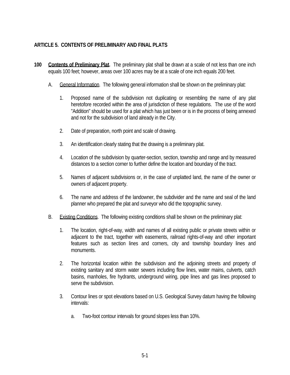# **ARTICLE 5. CONTENTS OF PRELIMINARY AND FINAL PLATS**

- **100 Contents of Preliminary Plat.** The preliminary plat shall be drawn at a scale of not less than one inch equals 100 feet; however, areas over 100 acres may be at a scale of one inch equals 200 feet.
	- A. General Information. The following general information shall be shown on the preliminary plat:
		- 1. Proposed name of the subdivision not duplicating or resembling the name of any plat heretofore recorded within the area of jurisdiction of these regulations. The use of the word "Addition" should be used for a plat which has just been or is in the process of being annexed and not for the subdivision of land already in the City.
		- 2. Date of preparation, north point and scale of drawing.
		- 3. An identification clearly stating that the drawing is a preliminary plat.
		- 4. Location of the subdivision by quarter-section, section, township and range and by measured distances to a section corner to further define the location and boundary of the tract.
		- 5. Names of adjacent subdivisions or, in the case of unplatted land, the name of the owner or owners of adjacent property.
		- 6. The name and address of the landowner, the subdivider and the name and seal of the land planner who prepared the plat and surveyor who did the topographic survey.
	- B. Existing Conditions. The following existing conditions shall be shown on the preliminary plat:
		- 1. The location, right-of-way, width and names of all existing public or private streets within or adjacent to the tract, together with easements, railroad rights-of-way and other important features such as section lines and corners, city and township boundary lines and monuments.
		- 2. The horizontal location within the subdivision and the adjoining streets and property of existing sanitary and storm water sewers including flow lines, water mains, culverts, catch basins, manholes, fire hydrants, underground wiring, pipe lines and gas lines proposed to serve the subdivision.
		- 3. Contour lines or spot elevations based on U.S. Geological Survey datum having the following intervals:
			- a. Two-foot contour intervals for ground slopes less than 10%.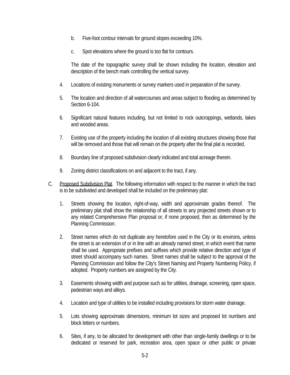- b. Five-foot contour intervals for ground slopes exceeding 10%.
- c. Spot elevations where the ground is too flat for contours.

 The date of the topographic survey shall be shown including the location, elevation and description of the bench mark controlling the vertical survey.

- 4. Locations of existing monuments or survey markers used in preparation of the survey.
- 5. The location and direction of all watercourses and areas subject to flooding as determined by Section 6-104.
- 6. Significant natural features including, but not limited to rock outcroppings, wetlands, lakes and wooded areas.
- 7. Existing use of the property including the location of all existing structures showing those that will be removed and those that will remain on the property after the final plat is recorded.
- 8. Boundary line of proposed subdivision clearly indicated and total acreage therein.
- 9. Zoning district classifications on and adjacent to the tract, if any.
- C. Proposed Subdivision Plat. The following information with respect to the manner in which the tract is to be subdivided and developed shall be included on the preliminary plat:
	- 1. Streets showing the location, right-of-way, width and approximate grades thereof. The preliminary plat shall show the relationship of all streets to any projected streets shown or to any related Comprehensive Plan proposal or, if none proposed, then as determined by the Planning Commission.
	- 2. Street names which do not duplicate any heretofore used in the City or its environs, unless the street is an extension of or in line with an already named street, in which event that name shall be used. Appropriate prefixes and suffixes which provide relative direction and type of street should accompany such names. Street names shall be subject to the approval of the Planning Commission and follow the City's Street Naming and Property Numbering Policy, if adopted. Property numbers are assigned by the City.
	- 3. Easements showing width and purpose such as for utilities, drainage, screening, open space, pedestrian ways and alleys.
	- 4. Location and type of utilities to be installed including provisions for storm water drainage.
	- 5. Lots showing approximate dimensions, minimum lot sizes and proposed lot numbers and block letters or numbers.
	- 6. Sites, if any, to be allocated for development with other than single-family dwellings or to be dedicated or reserved for park, recreation area, open space or other public or private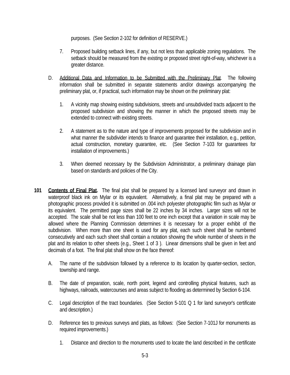purposes. (See Section 2-102 for definition of RESERVE.)

- 7. Proposed building setback lines, if any, but not less than applicable zoning regulations. The setback should be measured from the existing or proposed street right-of-way, whichever is a greater distance.
- D. Additional Data and Information to be Submitted with the Preliminary Plat. The following information shall be submitted in separate statements and/or drawings accompanying the preliminary plat, or, if practical, such information may be shown on the preliminary plat:
	- 1. A vicinity map showing existing subdivisions, streets and unsubdivided tracts adjacent to the proposed subdivision and showing the manner in which the proposed streets may be extended to connect with existing streets.
	- 2. A statement as to the nature and type of improvements proposed for the subdivision and in what manner the subdivider intends to finance and guarantee their installation, e.g., petition, actual construction, monetary guarantee, etc. (See Section 7-103 for guarantees for installation of improvements.)
	- 3. When deemed necessary by the Subdivision Administrator, a preliminary drainage plan based on standards and policies of the City.
- **101 Contents of Final Plat.** The final plat shall be prepared by a licensed land surveyor and drawn in waterproof black ink on Mylar or its equivalent. Alternatively, a final plat may be prepared with a photographic process provided it is submitted on .004 inch polyester photographic film such as Mylar or its equivalent. The permitted page sizes shall be 22 inches by 34 inches. Larger sizes will not be accepted. The scale shall be not less than 100 feet to one inch except that a variation in scale may be allowed where the Planning Commission determines it is necessary for a proper exhibit of the subdivision. When more than one sheet is used for any plat, each such sheet shall be numbered consecutively and each such sheet shall contain a notation showing the whole number of sheets in the plat and its relation to other sheets (e.g., Sheet 1 of 3 ). Linear dimensions shall be given in feet and decimals of a foot. The final plat shall show on the face thereof:
	- A. The name of the subdivision followed by a reference to its location by quarter-section, section, township and range.
	- B. The date of preparation, scale, north point, legend and controlling physical features, such as highways, railroads, watercourses and areas subject to flooding as determined by Section 6-104.
	- C. Legal description of the tract boundaries. (See Section 5-101 Q 1 for land surveyor's certificate and description.)
	- D. Reference ties to previous surveys and plats, as follows: (See Section 7-101J for monuments as required improvements.)
		- 1. Distance and direction to the monuments used to locate the land described in the certificate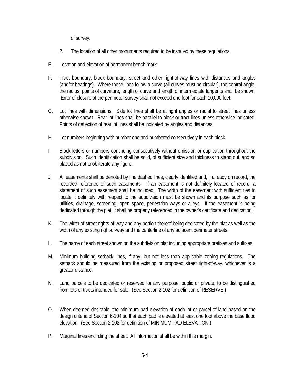of survey.

- 2. The location of all other monuments required to be installed by these regulations.
- E. Location and elevation of permanent bench mark.
- F. Tract boundary, block boundary, street and other right-of-way lines with distances and angles (and/or bearings). Where these lines follow a curve (all curves must be circular), the central angle, the radius, points of curvature, length of curve and length of intermediate tangents shall be shown. Error of closure of the perimeter survey shall not exceed one foot for each 10,000 feet.
- G. Lot lines with dimensions. Side lot lines shall be at right angles or radial to street lines unless otherwise shown. Rear lot lines shall be parallel to block or tract lines unless otherwise indicated. Points of deflection of rear lot lines shall be indicated by angles and distances.
- H. Lot numbers beginning with number one and numbered consecutively in each block.
- I. Block letters or numbers continuing consecutively without omission or duplication throughout the subdivision. Such identification shall be solid, of sufficient size and thickness to stand out, and so placed as not to obliterate any figure.
- J. All easements shall be denoted by fine dashed lines, clearly identified and, if already on record, the recorded reference of such easements. If an easement is not definitely located of record, a statement of such easement shall be included. The width of the easement with sufficient ties to locate it definitely with respect to the subdivision must be shown and its purpose such as for utilities, drainage, screening, open space, pedestrian ways or alleys. If the easement is being dedicated through the plat, it shall be properly referenced in the owner's certificate and dedication.
- K. The width of street rights-of-way and any portion thereof being dedicated by the plat as well as the width of any existing right-of-way and the centerline of any adjacent perimeter streets.
- L. The name of each street shown on the subdivision plat including appropriate prefixes and suffixes.
- M. Minimum building setback lines, if any, but not less than applicable zoning regulations. The setback should be measured from the existing or proposed street right-of-way, whichever is a greater distance.
- N. Land parcels to be dedicated or reserved for any purpose, public or private, to be distinguished from lots or tracts intended for sale. (See Section 2-102 for definition of RESERVE.)
- O. When deemed desirable, the minimum pad elevation of each lot or parcel of land based on the design criteria of Section 6-104 so that each pad is elevated at least one foot above the base flood elevation. (See Section 2-102 for definition of MINIMUM PAD ELEVATION.)
- P. Marginal lines encircling the sheet. All information shall be within this margin.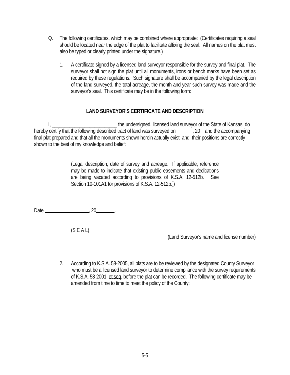- Q. The following certificates, which may be combined where appropriate: (Certificates requiring a seal should be located near the edge of the plat to facilitate affixing the seal. All names on the plat must also be typed or clearly printed under the signature.)
	- 1. A certificate signed by a licensed land surveyor responsible for the survey and final plat. The surveyor shall not sign the plat until all monuments, irons or bench marks have been set as required by these regulations. Such signature shall be accompanied by the legal description of the land surveyed, the total acreage, the month and year such survey was made and the surveyor's seal. This certificate may be in the following form:

# **LAND SURVEYOR'S CERTIFICATE AND DESCRIPTION**

 I, \_\_\_\_\_\_\_\_\_\_\_\_\_\_\_\_\_\_\_\_\_\_\_\_\_\_ the undersigned, licensed land surveyor of the State of Kansas, do hereby certify that the following described tract of land was surveyed on \_\_\_\_\_, 20 and the accompanying final plat prepared and that all the monuments shown herein actually exist and their positions are correctly shown to the best of my knowledge and belief:

> (Legal description, date of survey and acreage. If applicable, reference may be made to indicate that existing public easements and dedications are being vacated according to provisions of K.S.A. 12-512b. [See Section 10-101A1 for provisions of K.S.A. 12-512b.])

Date , 20 .

 $(S E A L)$ 

(Land Surveyor's name and license number)

 2. According to K.S.A. 58-2005, all plats are to be reviewed by the designated County Surveyor who must be a licensed land surveyor to determine compliance with the survey requirements of K.S.A. 58-2001, et seq. before the plat can be recorded. The following certificate may be amended from time to time to meet the policy of the County: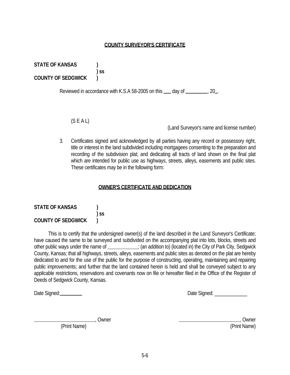(Print Name) (Print Name)

# 5-6

# **COUNTY SURVEYOR'S CERTIFICATE**

**STATE OF KANSAS ) COUNTY OF SEDGWICK )**

Reviewed in accordance with K.S.A 58-2005 on this  $\mu$  day of  $\mu$ , 20,

(S E A L)

 **) ss** 

(Land Surveyor's name and license number)

 3. Certificates signed and acknowledged by all parties having any record or possessory right, title or interest in the land subdivided including mortgagees consenting to the preparation and recording of the subdivision plat; and dedicating all tracts of land shown on the final plat which are intended for public use as highways, streets, alleys, easements and public sites. These certificates may be in the following form:

# **OWNER'S CERTIFICATE AND DEDICATION**

| <b>STATE OF KANSAS</b>    |        |
|---------------------------|--------|
|                           | $)$ SS |
| <b>COUNTY OF SEDGWICK</b> |        |

 This is to certify that the undersigned owner(s) of the land described in the Land Surveyor's Certificate; have caused the same to be surveyed and subdivided on the accompanying plat into lots, blocks, streets and other public ways under the name of \_\_\_\_\_\_\_\_\_; (an addition to) (located in) the City of Park City, Sedgwick County, Kansas; that all highways, streets, alleys, easements and public sites as denoted on the plat are hereby dedicated to and for the use of the public for the purpose of constructing, operating, maintaining and repairing public improvements; and further that the land contained herein is held and shall be conveyed subject to any applicable restrictions, reservations and covenants now on file or hereafter filed in the Office of the Register of Deeds of Sedgwick County, Kansas.

Date Signed: Date Signed: \_\_\_\_\_\_\_\_\_\_\_\_\_

\_\_\_\_\_\_\_\_\_\_\_\_\_\_\_\_\_\_\_\_\_\_\_\_\_\_\_\_\_, Owner the contract of the contract of the contract of the contract of the contract of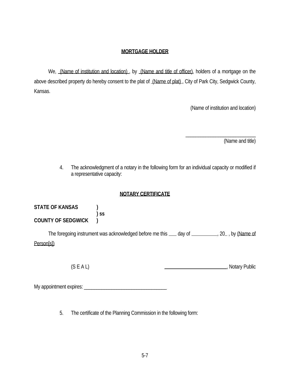### **MORTGAGE HOLDER**

We, (Name of institution and location), by (Name and title of officer), holders of a mortgage on the above described property do hereby consent to the plat of (Name of plat), City of Park City, Sedgwick County, Kansas.

 $\frac{1}{\sqrt{2}}$  ,  $\frac{1}{\sqrt{2}}$  ,  $\frac{1}{\sqrt{2}}$  ,  $\frac{1}{\sqrt{2}}$  ,  $\frac{1}{\sqrt{2}}$  ,  $\frac{1}{\sqrt{2}}$  ,  $\frac{1}{\sqrt{2}}$  ,  $\frac{1}{\sqrt{2}}$  ,  $\frac{1}{\sqrt{2}}$  ,  $\frac{1}{\sqrt{2}}$  ,  $\frac{1}{\sqrt{2}}$  ,  $\frac{1}{\sqrt{2}}$  ,  $\frac{1}{\sqrt{2}}$  ,  $\frac{1}{\sqrt{2}}$  ,  $\frac{1}{\sqrt{2}}$ 

(Name of institution and location)

(Name and title)

 4. The acknowledgment of a notary in the following form for an individual capacity or modified if a representative capacity:

# **NOTARY CERTIFICATE**

| <b>STATE OF KANSAS</b>    |        |
|---------------------------|--------|
|                           | $)$ SS |
| <b>COUNTY OF SEDGWICK</b> |        |

The foregoing instrument was acknowledged before me this \_\_\_ day of \_\_\_\_\_\_\_\_\_\_, 20\_, by (Name of Person[s])

(S E A L)  $\qquad \qquad \qquad$  , Notary Public

My appointment expires: \_\_\_\_\_\_\_\_\_\_\_\_\_\_\_\_\_\_\_\_\_\_\_\_\_\_\_\_\_\_\_\_\_

5. The certificate of the Planning Commission in the following form: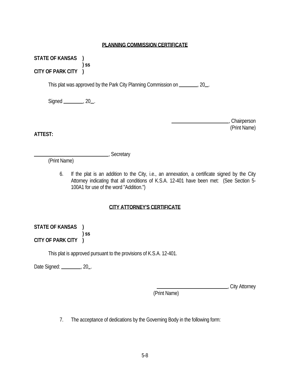#### **PLANNING COMMISSION CERTIFICATE**

**STATE OF KANSAS ) ) ss CITY OF PARK CITY )**

This plat was approved by the Park City Planning Commission on \_\_\_\_\_\_\_, 20\_.

Signed \_\_\_\_\_\_\_\_, 20\_.

 , Chairperson (Print Name)

**ATTEST:**

**Marshall**, Secretary

(Print Name)

 6. If the plat is an addition to the City, i.e., an annexation, a certificate signed by the City Attorney indicating that all conditions of K.S.A. 12-401 have been met: (See Section 5- 100A1 for use of the word "Addition.")

# **CITY ATTORNEY'S CERTIFICATE**

**STATE OF KANSAS ) ) ss CITY OF PARK CITY )**

This plat is approved pursuant to the provisions of K.S.A. 12-401.

Date Signed: \_\_\_\_\_\_\_\_\_, 20\_.

, City Attorney

(Print Name)

7. The acceptance of dedications by the Governing Body in the following form: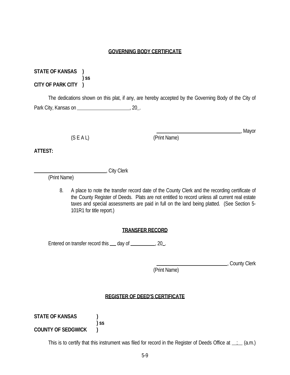#### **GOVERNING BODY CERTIFICATE**

**STATE OF KANSAS ) ) ss CITY OF PARK CITY )**

 The dedications shown on this plat, if any, are hereby accepted by the Governing Body of the City of Park City, Kansas on , 20 .

(S E A L) (Print Name)

, Mayor

**ATTEST:**

Letty Clerk

(Print Name)

 8. A place to note the transfer record date of the County Clerk and the recording certificate of the County Register of Deeds. Plats are not entitled to record unless all current real estate taxes and special assessments are paid in full on the land being platted. (See Section 5- 101R1 for title report.)

### **TRANSFER RECORD**

Entered on transfer record this  $\_\_$  day of  $\_\_$ , 20.

, County Clerk

(Print Name)

### **REGISTER OF DEED'S CERTIFICATE**

**STATE OF KANSAS ) ) ss COUNTY OF SEDGWICK )**

This is to certify that this instrument was filed for record in the Register of Deeds Office at  $\ldots$  (a.m.)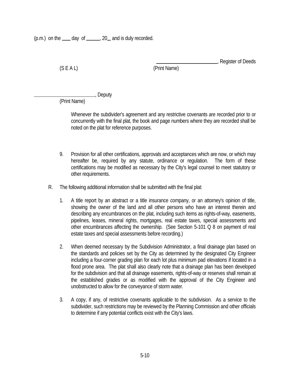(S E A L) (Print Name)

, Register of Deeds

Lackson<br>
Lackson<br>
Lackson<br>
Deputy

(Print Name)

 Whenever the subdivider's agreement and any restrictive covenants are recorded prior to or concurrently with the final plat, the book and page numbers where they are recorded shall be noted on the plat for reference purposes.

- 9. Provision for all other certifications, approvals and acceptances which are now, or which may hereafter be, required by any statute, ordinance or regulation. The form of these certifications may be modified as necessary by the City's legal counsel to meet statutory or other requirements.
- R. The following additional information shall be submitted with the final plat:
	- 1. A title report by an abstract or a title insurance company, or an attorney's opinion of title, showing the owner of the land and all other persons who have an interest therein and describing any encumbrances on the plat, including such items as rights-of-way, easements, pipelines, leases, mineral rights, mortgages, real estate taxes, special assessments and other encumbrances affecting the ownership. (See Section 5-101 Q 8 on payment of real estate taxes and special assessments before recording.)
	- 2. When deemed necessary by the Subdivision Administrator, a final drainage plan based on the standards and policies set by the City as determined by the designated City Engineer including a four-corner grading plan for each lot plus minimum pad elevations if located in a flood prone area. The plat shall also clearly note that a drainage plan has been developed for the subdivision and that all drainage easements, rights-of-way or reserves shall remain at the established grades or as modified with the approval of the City Engineer and unobstructed to allow for the conveyance of storm water.
	- 3. A copy, if any, of restrictive covenants applicable to the subdivision. As a service to the subdivider, such restrictions may be reviewed by the Planning Commission and other officials to determine if any potential conflicts exist with the City's laws.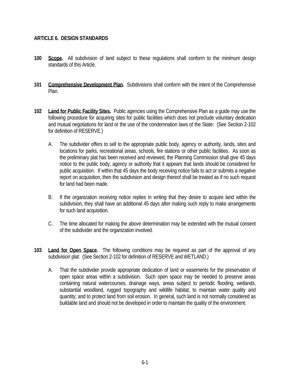### **ARTICLE 6. DESIGN STANDARDS**

- **100 Scope.** All subdivision of land subject to these regulations shall conform to the minimum design standards of this Article.
- **101 Comprehensive Development Plan.** Subdivisions shall conform with the intent of the Comprehensive Plan.
- **102 Land for Public Facility Sites.** Public agencies using the Comprehensive Plan as a guide may use the following procedure for acquiring sites for public facilities which does not preclude voluntary dedication and mutual negotiations for land or the use of the condemnation laws of the State: (See Section 2-102 for definition of RESERVE.)
	- A. The subdivider offers to sell to the appropriate public body, agency or authority, lands, sites and locations for parks, recreational areas, schools, fire stations or other public facilities. As soon as the preliminary plat has been received and reviewed, the Planning Commission shall give 45 days notice to the public body, agency or authority that it appears that lands should be considered for public acquisition. If within that 45 days the body receiving notice fails to act or submits a negative report on acquisition, then the subdivision and design thereof shall be treated as if no such request for land had been made.
	- B. If the organization receiving notice replies in writing that they desire to acquire land within the subdivision, they shall have an additional 45 days after making such reply to make arrangements for such land acquisition.
	- C. The time allocated for making the above determination may be extended with the mutual consent of the subdivider and the organization involved.
- **103 Land for Open Space.** The following conditions may be required as part of the approval of any subdivision plat: (See Section 2-102 for definition of RESERVE and WETLAND.)
	- A. That the subdivider provide appropriate dedication of land or easements for the preservation of open space areas within a subdivision. Such open space may be needed to preserve areas containing natural watercourses, drainage ways, areas subject to periodic flooding, wetlands, substantial woodland, rugged topography and wildlife habitat; to maintain water quality and quantity; and to protect land from soil erosion. In general, such land is not normally considered as buildable land and should not be developed in order to maintain the quality of the environment.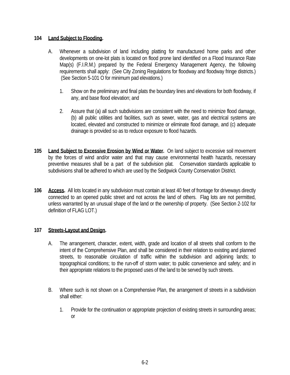### **104 Land Subject to Flooding.**

- A. Whenever a subdivision of land including platting for manufactured home parks and other developments on one-lot plats is located on flood prone land identified on a Flood Insurance Rate Map(s) (F.I.R.M.) prepared by the Federal Emergency Management Agency, the following requirements shall apply: (See City Zoning Regulations for floodway and floodway fringe districts.) (See Section 5-101 O for minimum pad elevations.)
	- 1. Show on the preliminary and final plats the boundary lines and elevations for both floodway, if any, and base flood elevation; and
	- 2. Assure that (a) all such subdivisions are consistent with the need to minimize flood damage, (b) all public utilities and facilities, such as sewer, water, gas and electrical systems are located, elevated and constructed to minimize or eliminate flood damage, and (c) adequate drainage is provided so as to reduce exposure to flood hazards.
- **105 Land Subject to Excessive Erosion by Wind or Water.** On land subject to excessive soil movement by the forces of wind and/or water and that may cause environmental health hazards, necessary preventive measures shall be a part of the subdivision plat. Conservation standards applicable to subdivisions shall be adhered to which are used by the Sedgwick County Conservation District.
- **106 Access.** All lots located in any subdivision must contain at least 40 feet of frontage for driveways directly connected to an opened public street and not across the land of others. Flag lots are not permitted, unless warranted by an unusual shape of the land or the ownership of property. (See Section 2-102 for definition of FLAG LOT.)

### **107 Streets-Layout and Design.**

- A. The arrangement, character, extent, width, grade and location of all streets shall conform to the intent of the Comprehensive Plan, and shall be considered in their relation to existing and planned streets, to reasonable circulation of traffic within the subdivision and adjoining lands; to topographical conditions; to the run-off of storm water; to public convenience and safety; and in their appropriate relations to the proposed uses of the land to be served by such streets.
- B. Where such is not shown on a Comprehensive Plan, the arrangement of streets in a subdivision shall either:
	- 1. Provide for the continuation or appropriate projection of existing streets in surrounding areas; or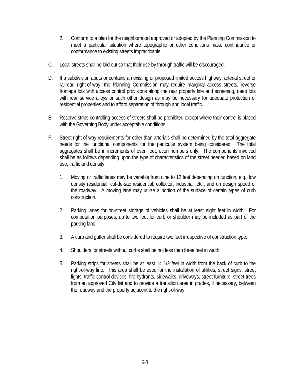- 2. Conform to a plan for the neighborhood approved or adopted by the Planning Commission to meet a particular situation where topographic or other conditions make continuance or conformance to existing streets impracticable.
- C. Local streets shall be laid out so that their use by through traffic will be discouraged.
- D. If a subdivision abuts or contains an existing or proposed limited access highway, arterial street or railroad right-of-way, the Planning Commission may require marginal access streets, reverse frontage lots with access control provisions along the rear property line and screening, deep lots with rear service alleys or such other design as may be necessary for adequate protection of residential properties and to afford separation of through and local traffic.
- E. Reserve strips controlling access of streets shall be prohibited except where their control is placed with the Governing Body under acceptable conditions.
- F. Street right-of-way requirements for other than arterials shall be determined by the total aggregate needs for the functional components for the particular system being considered. The total aggregates shall be in increments of even feet, even numbers only. The components involved shall be as follows depending upon the type of characteristics of the street needed based on land use, traffic and density:
	- 1. Moving or traffic lanes may be variable from nine to 12 feet depending on function, e.g., low density residential, cul-de-sac residential, collector, industrial, etc., and on design speed of the roadway. A moving lane may utilize a portion of the surface of certain types of curb construction.
	- 2. Parking lanes for on-street storage of vehicles shall be at least eight feet in width. For computation purposes, up to two feet for curb or shoulder may be included as part of the parking lane.
	- 3. A curb and gutter shall be considered to require two feet irrespective of construction type.
	- 4. Shoulders for streets without curbs shall be not less than three feet in width.
	- 5. Parking strips for streets shall be at least 14 1/2 feet in width from the back of curb to the right-of-way line. This area shall be used for the installation of utilities, street signs, street lights, traffic control devices, fire hydrants, sidewalks, driveways, street furniture, street trees from an approved City list and to provide a transition area in grades, if necessary, between the roadway and the property adjacent to the right-of-way.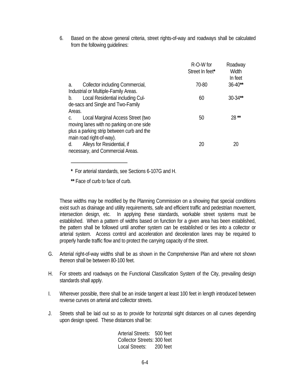6. Based on the above general criteria, street rights-of-way and roadways shall be calculated from the following guidelines:

|                                           | R-O-W for<br>Street In feet* | Roadway<br>Width<br>In feet |
|-------------------------------------------|------------------------------|-----------------------------|
| Collector including Commercial,<br>a.     | 70-80                        | $36 - 40**$                 |
| Industrial or Multiple-Family Areas.      |                              |                             |
| Local Residential including Cul-<br>b.    | 60                           | $30 - 34$ **                |
| de-sacs and Single and Two-Family         |                              |                             |
| Areas.                                    |                              |                             |
| Local Marginal Access Street (two<br>C.   | 50                           | $28**$                      |
| moving lanes with no parking on one side  |                              |                             |
| plus a parking strip between curb and the |                              |                             |
| main road right-of-way).                  |                              |                             |
| Alleys for Residential, if<br>d.          | 20                           | 20                          |
| necessary, and Commercial Areas.          |                              |                             |

 **\*** For arterial standards, see Sections 6-107G and H.

 **\*\*** Face of curb to face of curb.

────<del>─────</del>

These widths may be modified by the Planning Commission on a showing that special conditions exist such as drainage and utility requirements, safe and efficient traffic and pedestrian movement, intersection design, etc. In applying these standards, workable street systems must be established. When a pattern of widths based on function for a given area has been established, the pattern shall be followed until another system can be established or ties into a collector or arterial system. Access control and acceleration and deceleration lanes may be required to properly handle traffic flow and to protect the carrying capacity of the street.

- G. Arterial right-of-way widths shall be as shown in the Comprehensive Plan and where not shown thereon shall be between 80-100 feet.
- H. For streets and roadways on the Functional Classification System of the City, prevailing design standards shall apply.
- I. Wherever possible, there shall be an inside tangent at least 100 feet in length introduced between reverse curves on arterial and collector streets.
- J. Streets shall be laid out so as to provide for horizontal sight distances on all curves depending upon design speed. These distances shall be:

Arterial Streets: 500 feet Collector Streets: 300 feet Local Streets: 200 feet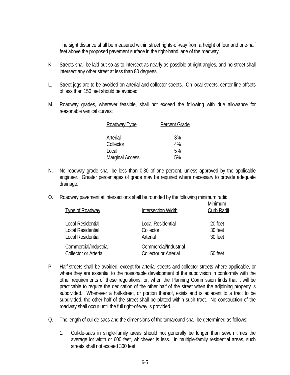The sight distance shall be measured within street rights-of-way from a height of four and one-half feet above the proposed pavement surface in the right-hand lane of the roadway.

- K. Streets shall be laid out so as to intersect as nearly as possible at right angles, and no street shall intersect any other street at less than 80 degrees.
- L. Street jogs are to be avoided on arterial and collector streets. On local streets, center line offsets of less than 150 feet should be avoided.
- M. Roadway grades, wherever feasible, shall not exceed the following with due allowance for reasonable vertical curves:

| Roadway Type           | <b>Percent Grade</b> |
|------------------------|----------------------|
| Arterial               | 3%                   |
| Collector              | 4%                   |
| Local                  | 5%                   |
| <b>Marginal Access</b> | 5%                   |

- N. No roadway grade shall be less than 0.30 of one percent, unless approved by the applicable engineer. Greater percentages of grade may be required where necessary to provide adequate drainage.
- O. Roadway pavement at intersections shall be rounded by the following minimum radii:

| <b>Type of Roadway</b>       | Intersection Width           | <b>Minimum</b><br>Curb Radii |
|------------------------------|------------------------------|------------------------------|
| Local Residential            | Local Residential            | 20 feet                      |
| Local Residential            | Collector                    | 30 feet                      |
| Local Residential            | Arterial                     | 30 feet                      |
| Commercial/Industrial        | Commercial/Industrial        |                              |
| <b>Collector or Arterial</b> | <b>Collector or Arterial</b> | 50 feet                      |

- P. Half-streets shall be avoided, except for arterial streets and collector streets where applicable, or where they are essential to the reasonable development of the subdivision in conformity with the other requirements of these regulations; or, when the Planning Commission finds that it will be practicable to require the dedication of the other half of the street when the adjoining property is subdivided. Whenever a half-street, or portion thereof, exists and is adjacent to a tract to be subdivided, the other half of the street shall be platted within such tract. No construction of the roadway shall occur until the full right-of-way is provided.
- Q. The length of cul-de-sacs and the dimensions of the turnaround shall be determined as follows:
	- 1. Cul-de-sacs in single-family areas should not generally be longer than seven times the average lot width or 600 feet, whichever is less. In multiple-family residential areas, such streets shall not exceed 300 feet.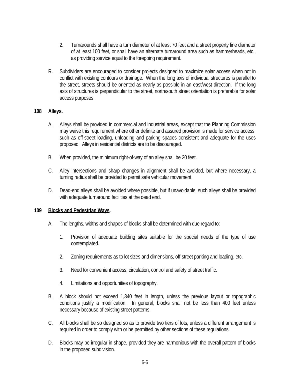- 2. Turnarounds shall have a turn diameter of at least 70 feet and a street property line diameter of at least 100 feet, or shall have an alternate turnaround area such as hammerheads, etc., as providing service equal to the foregoing requirement.
- R. Subdividers are encouraged to consider projects designed to maximize solar access when not in conflict with existing contours or drainage. When the long axis of individual structures is parallel to the street, streets should be oriented as nearly as possible in an east/west direction. If the long axis of structures is perpendicular to the street, north/south street orientation is preferable for solar access purposes.

#### **108 Alleys.**

- A. Alleys shall be provided in commercial and industrial areas, except that the Planning Commission may waive this requirement where other definite and assured provision is made for service access, such as off-street loading, unloading and parking spaces consistent and adequate for the uses proposed. Alleys in residential districts are to be discouraged.
- B. When provided, the minimum right-of-way of an alley shall be 20 feet.
- C. Alley intersections and sharp changes in alignment shall be avoided, but where necessary, a turning radius shall be provided to permit safe vehicular movement.
- D. Dead-end alleys shall be avoided where possible, but if unavoidable, such alleys shall be provided with adequate turnaround facilities at the dead end.

#### **109 Blocks and Pedestrian Ways.**

- A. The lengths, widths and shapes of blocks shall be determined with due regard to:
	- 1. Provision of adequate building sites suitable for the special needs of the type of use contemplated.
	- 2. Zoning requirements as to lot sizes and dimensions, off-street parking and loading, etc.
	- 3. Need for convenient access, circulation, control and safety of street traffic.
	- 4. Limitations and opportunities of topography.
- B. A block should not exceed 1,340 feet in length, unless the previous layout or topographic conditions justify a modification. In general, blocks shall not be less than 400 feet unless necessary because of existing street patterns.
- C. All blocks shall be so designed so as to provide two tiers of lots, unless a different arrangement is required in order to comply with or be permitted by other sections of these regulations.
- D. Blocks may be irregular in shape, provided they are harmonious with the overall pattern of blocks in the proposed subdivision.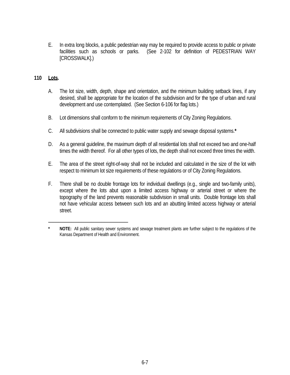E. In extra long blocks, a public pedestrian way may be required to provide access to public or private facilities such as schools or parks. (See 2-102 for definition of PEDESTRIAN WAY [CROSSWALK].)

# **110 Lots.**

- A. The lot size, width, depth, shape and orientation, and the minimum building setback lines, if any desired, shall be appropriate for the location of the subdivision and for the type of urban and rural development and use contemplated. (See Section 6-106 for flag lots.)
- B. Lot dimensions shall conform to the minimum requirements of City Zoning Regulations.
- C. All subdivisions shall be connected to public water supply and sewage disposal systems.**\***
- D. As a general guideline, the maximum depth of all residential lots shall not exceed two and one-half times the width thereof. For all other types of lots, the depth shall not exceed three times the width.
- E. The area of the street right-of-way shall not be included and calculated in the size of the lot with respect to minimum lot size requirements of these regulations or of City Zoning Regulations.
- F. There shall be no double frontage lots for individual dwellings (e.g., single and two-family units), except where the lots abut upon a limited access highway or arterial street or where the topography of the land prevents reasonable subdivision in small units. Double frontage lots shall not have vehicular access between such lots and an abutting limited access highway or arterial street.

────────*────────────────* 

NOTE: All public sanitary sewer systems and sewage treatment plants are further subject to the regulations of the Kansas Department of Health and Environment.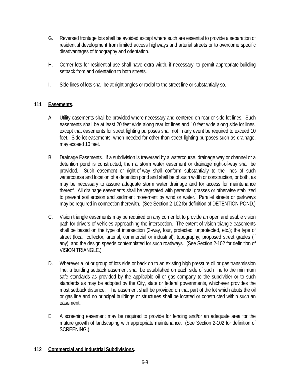- G. Reversed frontage lots shall be avoided except where such are essential to provide a separation of residential development from limited access highways and arterial streets or to overcome specific disadvantages of topography and orientation.
- H. Corner lots for residential use shall have extra width, if necessary, to permit appropriate building setback from and orientation to both streets.
- I. Side lines of lots shall be at right angles or radial to the street line or substantially so.

# **111 Easements.**

- A. Utility easements shall be provided where necessary and centered on rear or side lot lines. Such easements shall be at least 20 feet wide along rear lot lines and 10 feet wide along side lot lines, except that easements for street lighting purposes shall not in any event be required to exceed 10 feet. Side lot easements, when needed for other than street lighting purposes such as drainage, may exceed 10 feet.
- B. Drainage Easements. If a subdivision is traversed by a watercourse, drainage way or channel or a detention pond is constructed, then a storm water easement or drainage right-of-way shall be provided. Such easement or right-of-way shall conform substantially to the lines of such watercourse and location of a detention pond and shall be of such width or construction, or both, as may be necessary to assure adequate storm water drainage and for access for maintenance thereof. All drainage easements shall be vegetated with perennial grasses or otherwise stabilized to prevent soil erosion and sediment movement by wind or water. Parallel streets or parkways may be required in connection therewith. (See Section 2-102 for definition of DETENTION POND.)
- C. Vision triangle easements may be required on any corner lot to provide an open and usable vision path for drivers of vehicles approaching the intersection. The extent of vision triangle easements shall be based on the type of intersection (3-way, four, protected, unprotected, etc.); the type of street (local, collector, arterial, commercial or industrial); topography; proposed street grades (if any); and the design speeds contemplated for such roadways. (See Section 2-102 for definition of VISION TRIANGLE.)
- D. Wherever a lot or group of lots side or back on to an existing high pressure oil or gas transmission line, a building setback easement shall be established on each side of such line to the minimum safe standards as provided by the applicable oil or gas company to the subdivider or to such standards as may be adopted by the City, state or federal governments, whichever provides the most setback distance. The easement shall be provided on that part of the lot which abuts the oil or gas line and no principal buildings or structures shall be located or constructed within such an easement.
- E. A screening easement may be required to provide for fencing and/or an adequate area for the mature growth of landscaping with appropriate maintenance. (See Section 2-102 for definition of SCREENING.)

# **112 Commercial and Industrial Subdivisions.**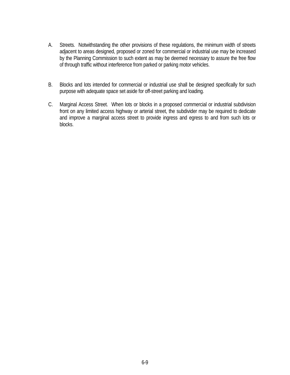- A. Streets. Notwithstanding the other provisions of these regulations, the minimum width of streets adjacent to areas designed, proposed or zoned for commercial or industrial use may be increased by the Planning Commission to such extent as may be deemed necessary to assure the free flow of through traffic without interference from parked or parking motor vehicles.
- B. Blocks and lots intended for commercial or industrial use shall be designed specifically for such purpose with adequate space set aside for off-street parking and loading.
- C. Marginal Access Street. When lots or blocks in a proposed commercial or industrial subdivision front on any limited access highway or arterial street, the subdivider may be required to dedicate and improve a marginal access street to provide ingress and egress to and from such lots or blocks.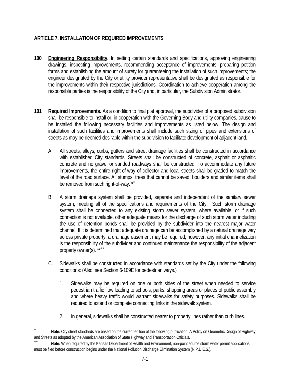# **ARTICLE 7. INSTALLATION OF REQUIRED IMPROVEMENTS**

- **100 Engineering Responsibility.** In setting certain standards and specifications, approving engineering drawings, inspecting improvements, recommending acceptance of improvements, preparing petition forms and establishing the amount of surety for guaranteeing the installation of such improvements; the engineer designated by the City or utility provider representative shall be designated as responsible for the improvements within their respective jurisdictions. Coordination to achieve cooperation among the responsible parties is the responsibility of the City and, in particular, the Subdivision Administrator.
- **101 Required Improvements.** As a condition to final plat approval, the subdivider of a proposed subdivision shall be responsible to install or, in cooperation with the Governing Body and utility companies, cause to be installed the following necessary facilities and improvements as listed below. The design and installation of such facilities and improvements shall include such sizing of pipes and extensions of streets as may be deemed desirable within the subdivision to facilitate development of adjacent land.
	- A. All streets, alleys, curbs, gutters and street drainage facilities shall be constructed in accordance with established City standards. Streets shall be constructed of concrete, asphalt or asphaltic concrete and no gravel or sanded roadways shall be constructed. To accommodate any future improvements, the entire right-of-way of collector and local streets shall be graded to match the level of the road surface. All stumps, trees that cannot be saved, boulders and similar items shall be removed from such right-of-way. **\*** ∗
	- B. A storm drainage system shall be provided, separate and independent of the sanitary sewer system, meeting all of the specifications and requirements of the City. Such storm drainage system shall be connected to any existing storm sewer system, where available, or if such connection is not available, other adequate means for the discharge of such storm water including the use of detention ponds shall be provided by the subdivider into the nearest major water channel. If it is determined that adequate drainage can be accomplished by a natural drainage way across private property, a drainage easement may be required; however, any initial channelization is the responsibility of the subdivider and continued maintenance the responsibility of the adjacent property owner(s). **\*\***∗∗
	- C. Sidewalks shall be constructed in accordance with standards set by the City under the following conditions: (Also, see Section 6-109E for pedestrian ways.)
		- 1. Sidewalks may be required on one or both sides of the street when needed to service pedestrian traffic flow leading to schools, parks, shopping areas or places of public assembly and where heavy traffic would warrant sidewalks for safety purposes. Sidewalks shall be required to extend or complete connecting links in the sidewalk system.
		- 2. In general, sidewalks shall be constructed nearer to property lines rather than curb lines.

—<br>—

<sup>∗</sup> **Note:** City street standards are based on the current edition of the following publication: A Policy on Geometric Design of Highway and Streets as adopted by the American Association of State Highway and Transportation Officials.<br>**Note:** When required by the Kansas Department of Health and Environment, non-point source storm water permit applications

must be filed before construction begins under the National Pollution Discharge Elimination System (N.P.D.E.S.).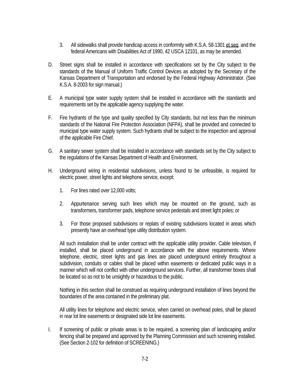- 3. All sidewalks shall provide handicap access in conformity with K.S.A. 58-1301 et seq. and the federal Americans with Disabilities Act of 1990, 42 USCA 12101, as may be amended.
- D. Street signs shall be installed in accordance with specifications set by the City subject to the standards of the Manual of Uniform Traffic Control Devices as adopted by the Secretary of the Kansas Department of Transportation and endorsed by the Federal Highway Administrator. (See K.S.A. 8-2003 for sign manual.)
- E. A municipal type water supply system shall be installed in accordance with the standards and requirements set by the applicable agency supplying the water.
- F. Fire hydrants of the type and quality specified by City standards, but not less than the minimum standards of the National Fire Protection Association (NFPA), shall be provided and connected to municipal type water supply system. Such hydrants shall be subject to the inspection and approval of the applicable Fire Chief.
- G. A sanitary sewer system shall be installed in accordance with standards set by the City subject to the regulations of the Kansas Department of Health and Environment.
- H. Underground wiring in residential subdivisions, unless found to be unfeasible, is required for electric power, street lights and telephone service, except:
	- 1. For lines rated over 12,000 volts;
	- 2. Appurtenance serving such lines which may be mounted on the ground, such as transformers, transformer pads, telephone service pedestals and street light poles; or
	- 3. For those proposed subdivisions or replats of existing subdivisions located in areas which presently have an overhead type utility distribution system.

All such installation shall be under contract with the applicable utility provider. Cable television, if installed, shall be placed underground in accordance with the above requirements. Where telephone, electric, street lights and gas lines are placed underground entirely throughout a subdivision, conduits or cables shall be placed within easements or dedicated public ways in a manner which will not conflict with other underground services. Further, all transformer boxes shall be located so as not to be unsightly or hazardous to the public.

Nothing in this section shall be construed as requiring underground installation of lines beyond the boundaries of the area contained in the preliminary plat.

All utility lines for telephone and electric service, when carried on overhead poles, shall be placed in rear lot line easements or designated side lot line easements.

I. If screening of public or private areas is to be required, a screening plan of landscaping and/or fencing shall be prepared and approved by the Planning Commission and such screening installed. (See Section 2-102 for definition of SCREENING.)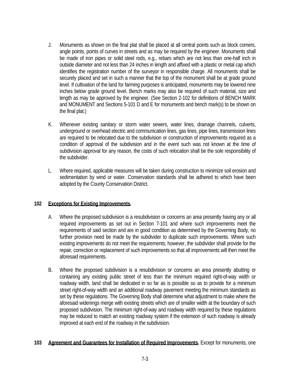- J. Monuments as shown on the final plat shall be placed at all central points such as block corners, angle points, points of curves in streets and as may be required by the engineer. Monuments shall be made of iron pipes or solid steel rods, e.g., rebars which are not less than one-half inch in outside diameter and not less than 24 inches in length and affixed with a plastic or metal cap which identifies the registration number of the surveyor in responsible charge. All monuments shall be securely placed and set in such a manner that the top of the monument shall be at grade ground level. If cultivation of the land for farming purposes is anticipated, monuments may be lowered nine inches below grade ground level. Bench marks may also be required of such material, size and length as may be approved by the engineer. (See Section 2-102 for definitions of BENCH MARK and MONUMENT and Sections 5-101 D and E for monuments and bench mark(s) to be shown on the final plat.)
- K. Whenever existing sanitary or storm water sewers, water lines, drainage channels, culverts, underground or overhead electric and communication lines, gas lines, pipe lines, transmission lines are required to be relocated due to the subdivision or construction of improvements required as a condition of approval of the subdivision and in the event such was not known at the time of subdivision approval for any reason, the costs of such relocation shall be the sole responsibility of the subdivider.
- L. Where required, applicable measures will be taken during construction to minimize soil erosion and sedimentation by wind or water. Conservation standards shall be adhered to which have been adopted by the County Conservation District.

### **102 Exceptions for Existing Improvements.**

- A. Where the proposed subdivision is a resubdivision or concerns an area presently having any or all required improvements as set out in Section 7-101 and where such improvements meet the requirements of said section and are in good condition as determined by the Governing Body, no further provision need be made by the subdivider to duplicate such improvements. Where such existing improvements do not meet the requirements; however, the subdivider shall provide for the repair, correction or replacement of such improvements so that all improvements will then meet the aforesaid requirements.
- B. Where the proposed subdivision is a resubdivision or concerns an area presently abutting or containing any existing public street of less than the minimum required right-of-way width or roadway width, land shall be dedicated in so far as is possible so as to provide for a minimum street right-of-way width and an additional roadway pavement meeting the minimum standards as set by these regulations. The Governing Body shall determine what adjustment to make where the aforesaid widenings merge with existing streets which are of smaller width at the boundary of such proposed subdivision. The minimum right-of-way and roadway width required by these regulations may be reduced to match an existing roadway system if the extension of such roadway is already improved at each end of the roadway in the subdivision.

#### **103 Agreement and Guarantees for Installation of Required Improvements.** Except for monuments, one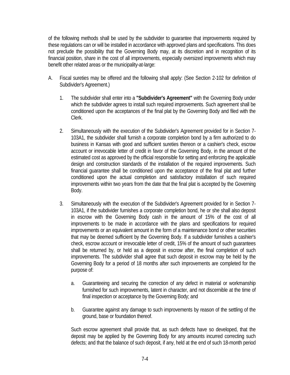of the following methods shall be used by the subdivider to guarantee that improvements required by these regulations can or will be installed in accordance with approved plans and specifications. This does not preclude the possibility that the Governing Body may, at its discretion and in recognition of its financial position, share in the cost of all improvements, especially oversized improvements which may benefit other related areas or the municipality-at-large:

- A. Fiscal sureties may be offered and the following shall apply: (See Section 2-102 for definition of Subdivider's Agreement.)
	- 1. The subdivider shall enter into a **"Subdivider's Agreement"** with the Governing Body under which the subdivider agrees to install such required improvements. Such agreement shall be conditioned upon the acceptances of the final plat by the Governing Body and filed with the Clerk.
	- 2. Simultaneously with the execution of the Subdivider's Agreement provided for in Section 7- 103A1, the subdivider shall furnish a corporate completion bond by a firm authorized to do business in Kansas with good and sufficient sureties thereon or a cashier's check, escrow account or irrevocable letter of credit in favor of the Governing Body, in the amount of the estimated cost as approved by the official responsible for setting and enforcing the applicable design and construction standards of the installation of the required improvements. Such financial guarantee shall be conditioned upon the acceptance of the final plat and further conditioned upon the actual completion and satisfactory installation of such required improvements within two years from the date that the final plat is accepted by the Governing Body.
	- 3. Simultaneously with the execution of the Subdivider's Agreement provided for in Section 7- 103A1, if the subdivider furnishes a corporate completion bond, he or she shall also deposit in escrow with the Governing Body cash in the amount of 15% of the cost of all improvements to be made in accordance with the plans and specifications for required improvements or an equivalent amount in the form of a maintenance bond or other securities that may be deemed sufficient by the Governing Body. If a subdivider furnishes a cashier's check, escrow account or irrevocable letter of credit, 15% of the amount of such guarantees shall be returned by, or held as a deposit in escrow after, the final completion of such improvements. The subdivider shall agree that such deposit in escrow may be held by the Governing Body for a period of 18 months after such improvements are completed for the purpose of:
		- a. Guaranteeing and securing the correction of any defect in material or workmanship furnished for such improvements, latent in character, and not discernible at the time of final inspection or acceptance by the Governing Body; and
		- b. Guarantee against any damage to such improvements by reason of the settling of the ground, base or foundation thereof.

Such escrow agreement shall provide that, as such defects have so developed, that the deposit may be applied by the Governing Body for any amounts incurred correcting such defects; and that the balance of such deposit, if any, held at the end of such 18-month period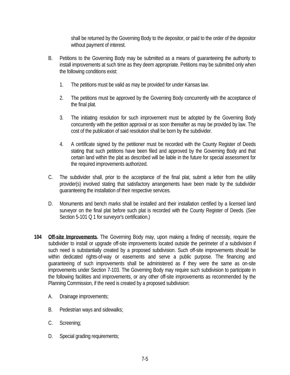shall be returned by the Governing Body to the depositor, or paid to the order of the depositor without payment of interest.

- B. Petitions to the Governing Body may be submitted as a means of guaranteeing the authority to install improvements at such time as they deem appropriate. Petitions may be submitted only when the following conditions exist:
	- 1. The petitions must be valid as may be provided for under Kansas law.
	- 2. The petitions must be approved by the Governing Body concurrently with the acceptance of the final plat.
	- 3. The initiating resolution for such improvement must be adopted by the Governing Body concurrently with the petition approval or as soon thereafter as may be provided by law. The cost of the publication of said resolution shall be born by the subdivider.
	- 4. A certificate signed by the petitioner must be recorded with the County Register of Deeds stating that such petitions have been filed and approved by the Governing Body and that certain land within the plat as described will be liable in the future for special assessment for the required improvements authorized.
- C. The subdivider shall, prior to the acceptance of the final plat, submit a letter from the utility provider(s) involved stating that satisfactory arrangements have been made by the subdivider guaranteeing the installation of their respective services.
- D. Monuments and bench marks shall be installed and their installation certified by a licensed land surveyor on the final plat before such plat is recorded with the County Register of Deeds. (See Section 5-101 Q 1 for surveyor's certification.)
- **104 Off-site Improvements.** The Governing Body may, upon making a finding of necessity, require the subdivider to install or upgrade off-site improvements located outside the perimeter of a subdivision if such need is substantially created by a proposed subdivision. Such off-site improvements should be within dedicated rights-of-way or easements and serve a public purpose. The financing and guaranteeing of such improvements shall be administered as if they were the same as on-site improvements under Section 7-103. The Governing Body may require such subdivision to participate in the following facilities and improvements, or any other off-site improvements as recommended by the Planning Commission, if the need is created by a proposed subdivision:
	- A. Drainage improvements;
	- B. Pedestrian ways and sidewalks;
	- C. Screening;
	- D. Special grading requirements;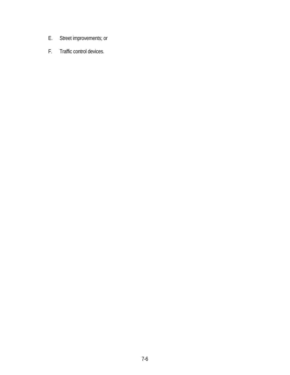- E. Street improvements; or
- F. Traffic control devices.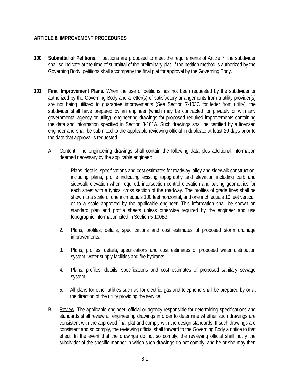# **ARTICLE 8. IMPROVEMENT PROCEDURES**

- **100 Submittal of Petitions.** If petitions are proposed to meet the requirements of Article 7, the subdivider shall so indicate at the time of submittal of the preliminary plat. If the petition method is authorized by the Governing Body, petitions shall accompany the final plat for approval by the Governing Body.
- **101 Final Improvement Plans.** When the use of petitions has not been requested by the subdivider or authorized by the Governing Body and a letter(s) of satisfactory arrangements from a utility provider(s) are not being utilized to guarantee improvements (See Section 7-103C for letter from utility), the subdivider shall have prepared by an engineer (which may be contracted for privately or with any governmental agency or utility), engineering drawings for proposed required improvements containing the data and information specified in Section 8-101A. Such drawings shall be certified by a licensed engineer and shall be submitted to the applicable reviewing official in duplicate at least 20 days prior to the date that approval is requested.
	- A. Content. The engineering drawings shall contain the following data plus additional information deemed necessary by the applicable engineer:
		- 1. Plans, details, specifications and cost estimates for roadway, alley and sidewalk construction; including plans, profile indicating existing topography and elevation including curb and sidewalk elevation when required, intersection control elevation and paving geometrics for each street with a typical cross section of the roadway. The profiles of grade lines shall be shown to a scale of one inch equals 100 feet horizontal, and one inch equals 10 feet vertical; or to a scale approved by the applicable engineer. This information shall be shown on standard plan and profile sheets unless otherwise required by the engineer and use topographic information cited in Section 5-100B3.
		- 2. Plans, profiles, details, specifications and cost estimates of proposed storm drainage improvements.
		- 3. Plans, profiles, details, specifications and cost estimates of proposed water distribution system, water supply facilities and fire hydrants.
		- 4. Plans, profiles, details, specifications and cost estimates of proposed sanitary sewage system.
		- 5. All plans for other utilities such as for electric, gas and telephone shall be prepared by or at the direction of the utility providing the service.
	- B. Review. The applicable engineer, official or agency responsible for determining specifications and standards shall review all engineering drawings in order to determine whether such drawings are consistent with the approved final plat and comply with the design standards. If such drawings are consistent and so comply, the reviewing official shall forward to the Governing Body a notice to that effect. In the event that the drawings do not so comply, the reviewing official shall notify the subdivider of the specific manner in which such drawings do not comply, and he or she may then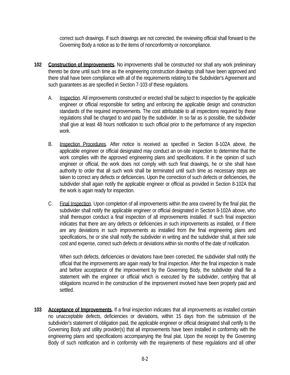correct such drawings. If such drawings are not corrected, the reviewing official shall forward to the Governing Body a notice as to the items of nonconformity or noncompliance.

- **102 Construction of Improvements.** No improvements shall be constructed nor shall any work preliminary thereto be done until such time as the engineering construction drawings shall have been approved and there shall have been compliance with all of the requirements relating to the Subdivider's Agreement and such guarantees as are specified in Section 7-103 of these regulations.
	- A. Inspection. All improvements constructed or erected shall be subject to inspection by the applicable engineer or official responsible for setting and enforcing the applicable design and construction standards of the required improvements. The cost attributable to all inspections required by these regulations shall be charged to and paid by the subdivider. In so far as is possible, the subdivider shall give at least 48 hours notification to such official prior to the performance of any inspection work.
	- B. Inspection Procedures. After notice is received as specified in Section 8-102A above, the applicable engineer or official designated may conduct an on-site inspection to determine that the work complies with the approved engineering plans and specifications. If in the opinion of such engineer or official, the work does not comply with such final drawings, he or she shall have authority to order that all such work shall be terminated until such time as necessary steps are taken to correct any defects or deficiencies. Upon the correction of such defects or deficiencies, the subdivider shall again notify the applicable engineer or official as provided in Section 8-102A that the work is again ready for inspection.
	- C. Final Inspection. Upon completion of all improvements within the area covered by the final plat, the subdivider shall notify the applicable engineer or official designated in Section 8-102A above, who shall thereupon conduct a final inspection of all improvements installed. If such final inspection indicates that there are any defects or deficiencies in such improvements as installed, or if there are any deviations in such improvements as installed from the final engineering plans and specifications, he or she shall notify the subdivider in writing and the subdivider shall, at their sole cost and expense, correct such defects or deviations within six months of the date of notification.

When such defects, deficiencies or deviations have been corrected, the subdivider shall notify the official that the improvements are again ready for final inspection. After the final inspection is made and before acceptance of the improvement by the Governing Body, the subdivider shall file a statement with the engineer or official which is executed by the subdivider, certifying that all obligations incurred in the construction of the improvement involved have been properly paid and settled.

**103 Acceptance of Improvements.** If a final inspection indicates that all improvements as installed contain no unacceptable defects, deficiencies or deviations, within 15 days from the submission of the subdivider's statement of obligation paid, the applicable engineer or official designated shall certify to the Governing Body and utility provider(s) that all improvements have been installed in conformity with the engineering plans and specifications accompanying the final plat. Upon the receipt by the Governing Body of such notification and in conformity with the requirements of these regulations and all other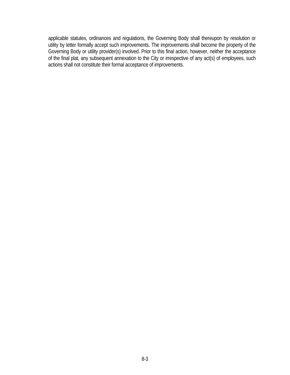applicable statutes, ordinances and regulations, the Governing Body shall thereupon by resolution or utility by letter formally accept such improvements. The improvements shall become the property of the Governing Body or utility provider(s) involved. Prior to this final action, however, neither the acceptance of the final plat, any subsequent annexation to the City or irrespective of any act(s) of employees, such actions shall not constitute their formal acceptance of improvements.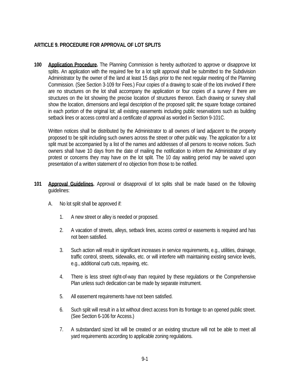# **ARTICLE 9. PROCEDURE FOR APPROVAL OF LOT SPLITS**

**100 Application Procedure.** The Planning Commission is hereby authorized to approve or disapprove lot splits. An application with the required fee for a lot split approval shall be submitted to the Subdivision Administrator by the owner of the land at least 15 days prior to the next regular meeting of the Planning Commission. (See Section 3-109 for Fees.) Four copies of a drawing to scale of the lots involved if there are no structures on the lot shall accompany the application or four copies of a survey if there are structures on the lot showing the precise location of structures thereon. Each drawing or survey shall show the location, dimensions and legal description of the proposed split; the square footage contained in each portion of the original lot; all existing easements including public reservations such as building setback lines or access control and a certificate of approval as worded in Section 9-101C.

Written notices shall be distributed by the Administrator to all owners of land adjacent to the property proposed to be split including such owners across the street or other public way. The application for a lot split must be accompanied by a list of the names and addresses of all persons to receive notices. Such owners shall have 10 days from the date of mailing the notification to inform the Administrator of any protest or concerns they may have on the lot split. The 10 day waiting period may be waived upon presentation of a written statement of no objection from those to be notified.

- **101 Approval Guidelines.** Approval or disapproval of lot splits shall be made based on the following guidelines:
	- A. No lot split shall be approved if:
		- 1. A new street or alley is needed or proposed.
		- 2. A vacation of streets, alleys, setback lines, access control or easements is required and has not been satisfied.
		- 3. Such action will result in significant increases in service requirements, e.g., utilities, drainage, traffic control, streets, sidewalks, etc. or will interfere with maintaining existing service levels, e.g., additional curb cuts, repaving, etc.
		- 4. There is less street right-of-way than required by these regulations or the Comprehensive Plan unless such dedication can be made by separate instrument.
		- 5. All easement requirements have not been satisfied.
		- 6. Such split will result in a lot without direct access from its frontage to an opened public street. (See Section 6-106 for Access.)
		- 7. A substandard sized lot will be created or an existing structure will not be able to meet all yard requirements according to applicable zoning regulations.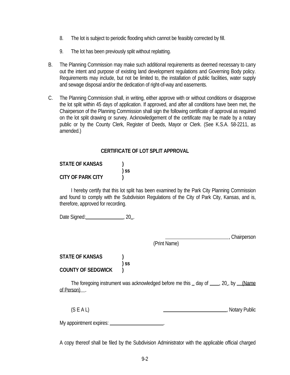- 8. The lot is subject to periodic flooding which cannot be feasibly corrected by fill.
- 9. The lot has been previously split without replatting.
- B. The Planning Commission may make such additional requirements as deemed necessary to carry out the intent and purpose of existing land development regulations and Governing Body policy. Requirements may include, but not be limited to, the installation of public facilities, water supply and sewage disposal and/or the dedication of right-of-way and easements.
- C. The Planning Commission shall, in writing, either approve with or without conditions or disapprove the lot split within 45 days of application. If approved, and after all conditions have been met, the Chairperson of the Planning Commission shall sign the following certificate of approval as required on the lot split drawing or survey. Acknowledgement of the certificate may be made by a notary public or by the County Clerk, Register of Deeds, Mayor or Clerk. (See K.S.A. 58-2211, as amended.)

# **CERTIFICATE OF LOT SPLIT APPROVAL**

| <b>STATE OF KANSAS</b> |        |
|------------------------|--------|
|                        | $)$ SS |
| CITY OF PARK CITY      |        |

I hereby certify that this lot split has been examined by the Park City Planning Commission and found to comply with the Subdivision Regulations of the City of Park City, Kansas, and is, therefore, approved for recording.

Date Signed: 0.20 ...

(Print Name)

, Chairperson

**STATE OF KANSAS ) ) ss COUNTY OF SEDGWICK )**

> The foregoing instrument was acknowledged before me this \_ day of \_\_\_, 20, by (Name of Person) .

(S E A L)  $\qquad \qquad \qquad$  , Notary Public

My appointment expires: .

A copy thereof shall be filed by the Subdivision Administrator with the applicable official charged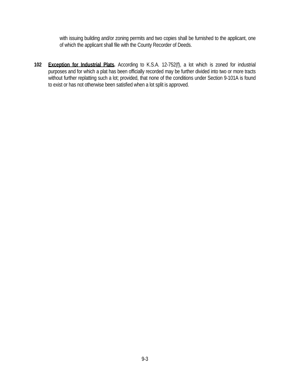with issuing building and/or zoning permits and two copies shall be furnished to the applicant, one of which the applicant shall file with the County Recorder of Deeds.

**102 Exception for Industrial Plats.** According to K.S.A. 12-752(f), a lot which is zoned for industrial purposes and for which a plat has been officially recorded may be further divided into two or more tracts without further replatting such a lot; provided, that none of the conditions under Section 9-101A is found to exist or has not otherwise been satisfied when a lot split is approved.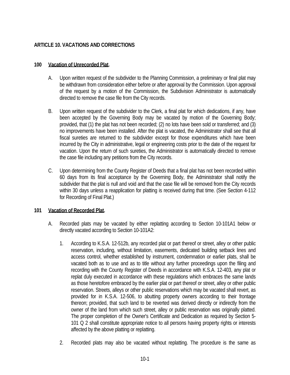# **ARTICLE 10. VACATIONS AND CORRECTIONS**

### **100 Vacation of Unrecorded Plat.**

- A. Upon written request of the subdivider to the Planning Commission, a preliminary or final plat may be withdrawn from consideration either before or after approval by the Commission. Upon approval of the request by a motion of the Commission, the Subdivision Administrator is automatically directed to remove the case file from the City records.
- B. Upon written request of the subdivider to the Clerk, a final plat for which dedications, if any, have been accepted by the Governing Body may be vacated by motion of the Governing Body; provided, that (1) the plat has not been recorded; (2) no lots have been sold or transferred; and (3) no improvements have been installed. After the plat is vacated, the Administrator shall see that all fiscal sureties are returned to the subdivider except for those expenditures which have been incurred by the City in administrative, legal or engineering costs prior to the date of the request for vacation. Upon the return of such sureties, the Administrator is automatically directed to remove the case file including any petitions from the City records.
- C. Upon determining from the County Register of Deeds that a final plat has not been recorded within 60 days from its final acceptance by the Governing Body, the Administrator shall notify the subdivider that the plat is null and void and that the case file will be removed from the City records within 30 days unless a reapplication for platting is received during that time. (See Section 4-112 for Recording of Final Plat.)

### **101 Vacation of Recorded Plat.**

- A. Recorded plats may be vacated by either replatting according to Section 10-101A1 below or directly vacated according to Section 10-101A2:
	- 1. According to K.S.A. 12-512b, any recorded plat or part thereof or street, alley or other public reservation, including, without limitation, easements, dedicated building setback lines and access control, whether established by instrument, condemnation or earlier plats, shall be vacated both as to use and as to title without any further proceedings upon the filing and recording with the County Register of Deeds in accordance with K.S.A. 12-403, any plat or replat duly executed in accordance with these regulations which embraces the same lands as those heretofore embraced by the earlier plat or part thereof or street, alley or other public reservation. Streets, alleys or other public reservations which may be vacated shall revert, as provided for in K.S.A. 12-506, to abutting property owners according to their frontage thereon; provided, that such land to be reverted was derived directly or indirectly from the owner of the land from which such street, alley or public reservation was originally platted. The proper completion of the Owner's Certificate and Dedication as required by Section 5- 101 Q 2 shall constitute appropriate notice to all persons having property rights or interests affected by the above platting or replatting.
	- 2. Recorded plats may also be vacated without replatting. The procedure is the same as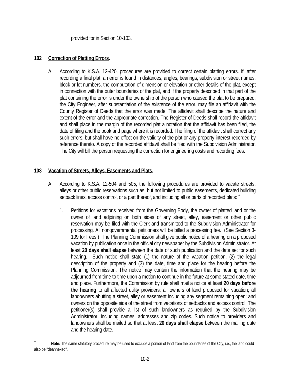provided for in Section 10-103.

#### **102 Correction of Platting Errors.**

A. According to K.S.A. 12-420, procedures are provided to correct certain platting errors. If, after recording a final plat, an error is found in distances, angles, bearings, subdivision or street names, block or lot numbers, the computation of dimension or elevation or other details of the plat, except in connection with the outer boundaries of the plat, and if the property described in that part of the plat containing the error is under the ownership of the person who caused the plat to be prepared, the City Engineer, after substantiation of the existence of the error, may file an affidavit with the County Register of Deeds that the error was made. The affidavit shall describe the nature and extent of the error and the appropriate correction. The Register of Deeds shall record the affidavit and shall place in the margin of the recorded plat a notation that the affidavit has been filed, the date of filing and the book and page where it is recorded. The filing of the affidavit shall correct any such errors, but shall have no effect on the validity of the plat or any property interest recorded by reference thereto. A copy of the recorded affidavit shall be filed with the Subdivision Administrator. The City will bill the person requesting the correction for engineering costs and recording fees.

### **103 Vacation of Streets, Alleys, Easements and Plats.**

 $\overline{\phantom{0}}$ 

- A. According to K.S.A. 12-504 and 505, the following procedures are provided to vacate streets, alleys or other public reservations such as, but not limited to public easements, dedicated building setback lines, access control, or a part thereof, and including all or parts of recorded plats: <sup>\*</sup>
	- 1. Petitions for vacations received from the Governing Body, the owner of platted land or the owner of land adjoining on both sides of any street, alley, easement or other public reservation may be filed with the Clerk and transmitted to the Subdivision Administrator for processing. All nongovernmental petitioners will be billed a processing fee. (See Section 3- 109 for Fees.) The Planning Commission shall give public notice of a hearing on a proposed vacation by publication once in the official city newspaper by the Subdivision Administrator. At least **20 days shall elapse** between the date of such publication and the date set for such hearing. Such notice shall state (1) the nature of the vacation petition, (2) the legal description of the property and (3) the date, time and place for the hearing before the Planning Commission. The notice may contain the information that the hearing may be adjourned from time to time upon a motion to continue in the future at some stated date, time and place. Furthermore, the Commission by rule shall mail a notice at least **20 days before the hearing** to all affected utility providers; all owners of land proposed for vacation; all landowners abutting a street, alley or easement including any segment remaining open; and owners on the opposite side of the street from vacations of setbacks and access control. The petitioner(s) shall provide a list of such landowners as required by the Subdivision Administrator, including names, addresses and zip codes. Such notice to providers and landowners shall be mailed so that at least **20 days shall elapse** between the mailing date and the hearing date.

<sup>∗</sup> **Note:** The same statutory procedure may be used to exclude a portion of land from the boundaries of the City, i.e., the land could also be "deannexed".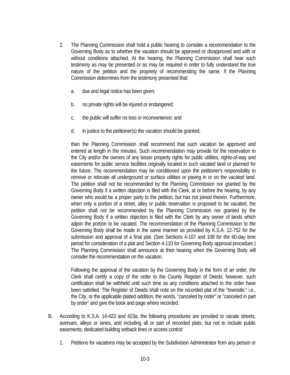- 2. The Planning Commission shall hold a public hearing to consider a recommendation to the Governing Body as to whether the vacation should be approved or disapproved and with or without conditions attached. At the hearing, the Planning Commission shall hear such testimony as may be presented or as may be required in order to fully understand the true nature of the petition and the propriety of recommending the same. If the Planning Commission determines from the testimony presented that:
	- a. due and legal notice has been given;
	- b. no private rights will be injured or endangered;
	- c. the public will suffer no loss or inconvenience; and
	- d. in justice to the petitioner(s) the vacation should be granted;

then the Planning Commission shall recommend that such vacation be approved and entered at length in the minutes. Such recommendation may provide for the reservation to the City and/or the owners of any lesser property rights for public utilities, rights-of-way and easements for public service facilities originally located in such vacated land or planned for the future. The recommendation may be conditioned upon the petitioner's responsibility to remove or relocate all underground or surface utilities or paving in or on the vacated land. The petition shall not be recommended by the Planning Commission nor granted by the Governing Body if a written objection is filed with the Clerk, at or before the hearing, by any owner who would be a proper party to the petition, but has not joined therein. Furthermore, when only a portion of a street, alley or public reservation is proposed to be vacated, the petition shall not be recommended by the Planning Commission nor granted by the Governing Body if a written objection is filed with the Clerk by any owner of lands which adjoin the portion to be vacated. The recommendation of the Planning Commission to the Governing Body shall be made in the same manner as provided by K.S.A. 12-752 for the submission and approval of a final plat. (See Sections 4-107 and 108 for the 60-day time period for consideration of a plat and Section 4-110 for Governing Body approval procedure.) The Planning Commission shall announce at their hearing when the Governing Body will consider the recommendation on the vacation.

Following the approval of the vacation by the Governing Body in the form of an order, the Clerk shall certify a copy of the order to the County Register of Deeds; however, such certification shall be withheld until such time as any conditions attached to the order have been satisfied. The Register of Deeds shall note on the recorded plat of the "townsite," i.e., the City, or the applicable platted addition, the words, "canceled by order" or "canceled in part by order" and give the book and page where recorded.

- B. According to K.S.A. 14-423 and 423a, the following procedures are provided to vacate streets, avenues, alleys or lanes, and including all or part of recorded plats, but not to include public easements, dedicated building setback lines or access control:
	- 1. Petitions for vacations may be accepted by the Subdivision Administrator from any person or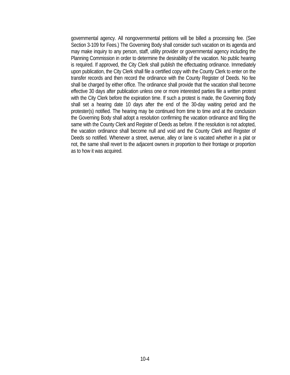governmental agency. All nongovernmental petitions will be billed a processing fee. (See Section 3-109 for Fees.) The Governing Body shall consider such vacation on its agenda and may make inquiry to any person, staff, utility provider or governmental agency including the Planning Commission in order to determine the desirability of the vacation. No public hearing is required. If approved, the City Clerk shall publish the effectuating ordinance. Immediately upon publication, the City Clerk shall file a certified copy with the County Clerk to enter on the transfer records and then record the ordinance with the County Register of Deeds. No fee shall be charged by either office. The ordinance shall provide that the vacation shall become effective 30 days after publication unless one or more interested parties file a written protest with the City Clerk before the expiration time. If such a protest is made, the Governing Body shall set a hearing date 10 days after the end of the 30-day waiting period and the protester(s) notified. The hearing may be continued from time to time and at the conclusion the Governing Body shall adopt a resolution confirming the vacation ordinance and filing the same with the County Clerk and Register of Deeds as before. If the resolution is not adopted, the vacation ordinance shall become null and void and the County Clerk and Register of Deeds so notified. Whenever a street, avenue, alley or lane is vacated whether in a plat or not, the same shall revert to the adjacent owners in proportion to their frontage or proportion as to how it was acquired.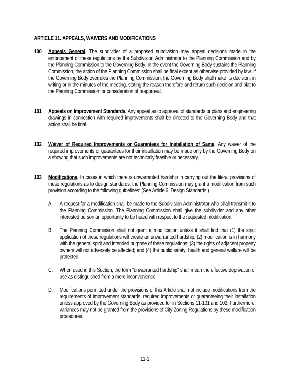# **ARTICLE 11. APPEALS, WAIVERS AND MODIFICATIONS**

- **100 Appeals General.** The subdivider of a proposed subdivision may appeal decisions made in the enforcement of these regulations by the Subdivision Administrator to the Planning Commission and by the Planning Commission to the Governing Body. In the event the Governing Body sustains the Planning Commission, the action of the Planning Commission shall be final except as otherwise provided by law. If the Governing Body overrules the Planning Commission, the Governing Body shall make its decision, in writing or in the minutes of the meeting, stating the reason therefore and return such decision and plat to the Planning Commission for consideration of reapproval.
- **101 Appeals on Improvement Standards.** Any appeal as to approval of standards or plans and engineering drawings in connection with required improvements shall be directed to the Governing Body and that action shall be final.
- **102 Waiver of Required Improvements or Guarantees for Installation of Same.** Any waiver of the required improvements or guarantees for their installation may be made only by the Governing Body on a showing that such improvements are not technically feasible or necessary.
- **103 Modifications.** In cases in which there is unwarranted hardship in carrying out the literal provisions of these regulations as to design standards, the Planning Commission may grant a modification from such provision according to the following guidelines: (See Article 6, Design Standards.)
	- A. A request for a modification shall be made to the Subdivision Administrator who shall transmit it to the Planning Commission. The Planning Commission shall give the subdivider and any other interested person an opportunity to be heard with respect to the requested modification.
	- B. The Planning Commission shall not grant a modification unless it shall find that (1) the strict application of these regulations will create an unwarranted hardship; (2) modification is in harmony with the general spirit and intended purpose of these regulations; (3) the rights of adjacent property owners will not adversely be affected; and (4) the public safety, health and general welfare will be protected.
	- C. When used in this Section, the term "unwarranted hardship" shall mean the effective deprivation of use as distinguished from a mere inconvenience.
	- D. Modifications permitted under the provisions of this Article shall not include modifications from the requirements of improvement standards, required improvements or guaranteeing their installation unless approved by the Governing Body as provided for in Sections 11-101 and 102. Furthermore, variances may not be granted from the provisions of City Zoning Regulations by these modification procedures.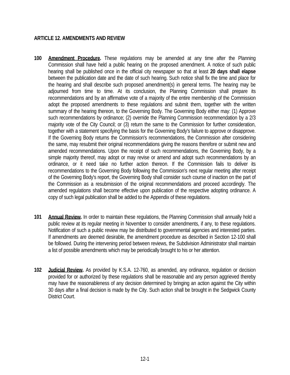### **ARTICLE 12. AMENDMENTS AND REVIEW**

- **100 Amendment Procedure.** These regulations may be amended at any time after the Planning Commission shall have held a public hearing on the proposed amendment. A notice of such public hearing shall be published once in the official city newspaper so that at least **20 days shall elapse** between the publication date and the date of such hearing. Such notice shall fix the time and place for the hearing and shall describe such proposed amendment(s) in general terms. The hearing may be adjourned from time to time. At its conclusion, the Planning Commission shall prepare its recommendations and by an affirmative vote of a majority of the entire membership of the Commission adopt the proposed amendments to these regulations and submit them, together with the written summary of the hearing thereon, to the Governing Body. The Governing Body either may: (1) Approve such recommendations by ordinance; (2) override the Planning Commission recommendation by a 2/3 majority vote of the City Council; or (3) return the same to the Commission for further consideration, together with a statement specifying the basis for the Governing Body's failure to approve or disapprove. If the Governing Body returns the Commission's recommendations, the Commission after considering the same, may resubmit their original recommendations giving the reasons therefore or submit new and amended recommendations. Upon the receipt of such recommendations, the Governing Body, by a simple majority thereof, may adopt or may revise or amend and adopt such recommendations by an ordinance, or it need take no further action thereon. If the Commission fails to deliver its recommendations to the Governing Body following the Commission's next regular meeting after receipt of the Governing Body's report, the Governing Body shall consider such course of inaction on the part of the Commission as a resubmission of the original recommendations and proceed accordingly. The amended regulations shall become effective upon publication of the respective adopting ordinance. A copy of such legal publication shall be added to the Appendix of these regulations.
- **101 Annual Review.** In order to maintain these regulations, the Planning Commission shall annually hold a public review at its regular meeting in November to consider amendments, if any, to these regulations. Notification of such a public review may be distributed to governmental agencies and interested parties. If amendments are deemed desirable, the amendment procedure as described in Section 12-100 shall be followed. During the intervening period between reviews, the Subdivision Administrator shall maintain a list of possible amendments which may be periodically brought to his or her attention.
- **102 Judicial Review.** As provided by K.S.A. 12-760, as amended, any ordinance, regulation or decision provided for or authorized by these regulations shall be reasonable and any person aggrieved thereby may have the reasonableness of any decision determined by bringing an action against the City within 30 days after a final decision is made by the City. Such action shall be brought in the Sedgwick County District Court.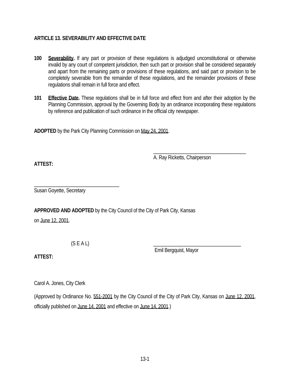# **ARTICLE 13. SEVERABILITY AND EFFECTIVE DATE**

- **100 Severability.** If any part or provision of these regulations is adjudged unconstitutional or otherwise invalid by any court of competent jurisdiction, then such part or provision shall be considered separately and apart from the remaining parts or provisions of these regulations, and said part or provision to be completely severable from the remainder of these regulations, and the remainder provisions of these regulations shall remain in full force and effect.
- **101 Effective Date.** These regulations shall be in full force and effect from and after their adoption by the Planning Commission, approval by the Governing Body by an ordinance incorporating these regulations by reference and publication of such ordinance in the official city newspaper.

**ADOPTED** by the Park City Planning Commission on May 24, 2001.

A. Ray Ricketts, Chairperson

\_\_\_\_\_\_\_\_\_\_\_\_\_\_\_\_\_\_\_\_\_\_\_\_\_\_\_\_\_\_\_\_\_\_\_\_\_

**ATTEST:**

\_\_\_\_\_\_\_\_\_\_\_\_\_\_\_\_\_\_\_\_\_\_\_\_\_\_\_\_\_\_\_\_\_\_ Susan Goyette, Secretary

**APPROVED AND ADOPTED** by the City Council of the City of Park City, Kansas

on June 12, 2001.

 $(S E A L)$ 

Emil Bergquist, Mayor

**ATTEST:**

Carol A. Jones, City Clerk

(Approved by Ordinance No. 551-2001 by the City Council of the City of Park City, Kansas on June 12, 2001, officially published on June 14, 2001 and effective on June 14, 2001.)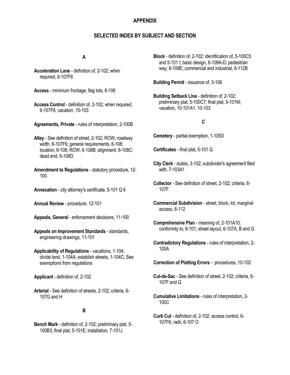#### **APPENDIX**

#### **SELECTED INDEX BY SUBJECT AND SECTION**

#### **A**

- **Acceleration Lane** definition of, 2-102; when required, 6-107F6
- **Access** minimum frontage, flag lots, 6-106
- **Access Control** definition of, 2-102; when required, 6-107F6; vacation, 10-103
- **Agreements, Private** rules of interpretation, 2-100B
- **Alley** See definition of street, 2-102; ROW, roadway width, 6-107F6; general requirements, 6-108; location, 6-108; ROW, 6-108B; alignment, 6-108C; dead end, 6-108D
- **Amendment to Regulations** statutory procedure, 12- 100
- **Annexation** city attorney's certificate, 5-101 Q 6
- **Annual Review** procedure, 12-101
- **Appeals, General** enforcement decisions, 11-100
- **Appeals on Improvement Standards** standards, engineering drawings, 11-101
- **Applicability of Regulations** vacations, 1-104; divide land, 1-104A; establish streets, 1-104C; See exemptions from regulations
- **Applicant** definition of, 2-102
- **Arterial** See definition of streets, 2-102; criteria, 6- 107G and H

#### **B**

**Bench Mark** - definition of, 2-102; preliminary plat, 5- 100B3; final plat, 5-101E; installation, 7-101J

**Block** - definition of, 2-102; identification of, 5-100C5 and 5-101 I; basic design, 6-109A-D; pedestrian way, 6-109E; commercial and industrial, 6-112B

**Building Permit** - issuance of, 3-106

**Building Setback Line** - definition of, 2-102; preliminary plat, 5-100C7; final plat, 5-101M; vacation, 10-101A1, 10-103

#### **C**

- **Cemetery** partial exemption, 1-105D
- **Certificates** final plat, 5-101 Q
- **City Clerk** duties, 3-102; subdivider's agreement filed with, 7-103A1
- **Collector** See definition of street, 2-102; criteria, 6- 107F
- **Commercial Subdivision** street, block, lot, marginal access, 6-112
- **Comprehensive Plan** meaning of, 2-101A10; conformity to, 6-101; street layout, 6-107A, B and G
- **Contradictory Regulations** rules of interpretation, 2- 100A

**Correction of Platting Errors** - procedures, 10-102

- **Cul-de-Sac** See definition of street, 2-102; criteria, 6- 107F and Q
- **Cumulative Limitations** rules of interpretation, 2- 100C
- **Curb Cut** definition of, 2-102; access control, 6- 107F6; radii, 6-107 O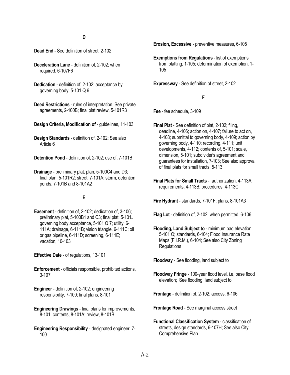- **Dead End** See definition of street, 2-102
- **Deceleration Lane** definition of, 2-102; when required, 6-107F6
- **Dedication** definition of, 2-102; acceptance by governing body, 5-101 Q 6
- **Deed Restrictions** rules of interpretation, See private agreements, 2-100B; final plat review, 5-101R3
- **Design Criteria, Modification of** guidelines, 11-103
- **Design Standards** definition of, 2-102; See also Article 6
- **Detention Pond** definition of, 2-102; use of, 7-101B
- **Drainage** preliminary plat, plan, 5-100C4 and D3; final plan, 5-101R2; street, 7-101A; storm, detention ponds, 7-101B and 8-101A2

#### **E**

**Easement** - definition of, 2-102; dedication of, 3-106; preliminary plat, 5-100B1 and C3; final plat, 5-101J; governing body acceptance, 5-101 Q 7; utility, 6- 111A; drainage, 6-111B; vision triangle, 6-111C; oil or gas pipeline, 6-111D; screening, 6-111E; vacation, 10-103

**Effective Date** - of regulations, 13-101

**Enforcement** - officials responsible, prohibited actions, 3-107

**Engineer** - definition of, 2-102; engineering responsibility, 7-100; final plans, 8-101

- **Engineering Drawings** final plans for improvements, 8-101; contents, 8-101A; review, 8-101B
- **Engineering Responsibility** designated engineer, 7- 100

**Erosion, Excessive** - preventive measures, 6-105

**Exemptions from Regulations** - list of exemptions from platting, 1-105; determination of exemption, 1- 105

**Expressway** - See definition of street, 2-102

#### **F**

**Fee** - fee schedule, 3-109

- **Final Plat** See definition of plat, 2-102; filing, deadline, 4-106; action on, 4-107; failure to act on, 4-108; submittal to governing body, 4-109; action by governing body, 4-110; recording, 4-111; unit developments, 4-112; contents of, 5-101; scale, dimension, 5-101; subdivider's agreement and guarantees for installation, 7-103; See also approval of final plats for small tracts, 5-113
- **Final Plats for Small Tracts** authorization, 4-113A; requirements, 4-113B; procedures, 4-113C

**Fire Hydrant** - standards, 7-101F; plans, 8-101A3

- **Flag Lot** definition of, 2-102; when permitted, 6-106
- **Flooding, Land Subject to** minimum pad elevation, 5-101 O; standards, 6-104; Flood Insurance Rate Maps (F.I.R.M.), 6-104; See also City Zoning **Regulations**

**Floodway** - See flooding, land subject to

- **Floodway Fringe** 100-year flood level, i.e, base flood elevation; See flooding, land subject to
- **Frontage** definition of, 2-102; access, 6-106
- **Frontage Road** See marginal access street
- **Functional Classification System** classification of streets, design standards, 6-107H; See also City Comprehensive Plan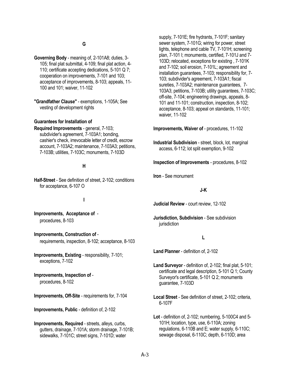#### **G**

**Governing Body** - meaning of, 2-101A8; duties, 3- 105; final plat submittal, 4-109; final plat action, 4- 110; certificate accepting dedications, 5-101 Q 7; cooperation on improvements, 7-101 and 103; acceptance of improvements, 8-103; appeals, 11- 100 and 101; waiver, 11-102

**"Grandfather Clause"** - exemptions, 1-105A; See vesting of development rights

#### **Guarantees for Installation of**

**Required Improvements** - general, 7-103; subdivider's agreement, 7-103A1; bonding, cashier's check, irrevocable letter of credit, escrow account, 7-103A2; maintenance, 7-103A3; petitions, 7-103B; utilities, 7-103C; monuments, 7-103D

#### **H**

**Half-Street** - See definition of street, 2-102; conditions for acceptance, 6-107 O

#### **I**

**Improvements, Acceptance of** procedures, 8-103

**Improvements, Construction of** requirements, inspection, 8-102; acceptance, 8-103

**Improvements, Existing** - responsibility, 7-101; exceptions, 7-102

# **Improvements, Inspection of** -

procedures, 8-102

**Improvements, Off-Site** - requirements for, 7-104

**Improvements, Public** - definition of, 2-102

**Improvements, Required** - streets, alleys, curbs, gutters, drainage, 7-101A; storm drainage, 7-101B; sidewalks, 7-101C; street signs, 7-101D; water

supply, 7-101E; fire hydrants, 7-101F; sanitary sewer system, 7-101G; wiring for power, street lights, telephone and cable TV, 7-101H; screening plan, 7-101 I; monuments, certified, 7-101J and 7- 103D; relocated, exceptions for existing , 7-101K and 7-102; soil erosion, 7-101L; agreement and installation guarantees, 7-103; responsibility for, 7- 103; subdivider's agreement, 7-103A1; fiscal sureties, 7-103A2; maintenance guarantees, 7- 103A3; petitions, 7-103B; utility guarantees, 7-103C; off-site, 7-104; engineering drawings, appeals, 8- 101 and 11-101; construction, inspection, 8-102; acceptance, 8-103; appeal on standards, 11-101; waiver, 11-102

**Improvements, Waiver of** - procedures, 11-102

**Industrial Subdivision** - street, block, lot, marginal access, 6-112; lot split exemption, 9-102

**Inspection of Improvements** - procedures, 8-102

**Iron** - See monument

#### **J-K**

**Judicial Review** - court review, 12-102

**Jurisdiction, Subdivision** - See subdivision iurisdiction

#### **L**

**Land Planner** - definition of, 2-102

- **Land Surveyor** definition of, 2-102; final plat, 5-101; certificate and legal description, 5-101 Q 1; County Surveyor's certificate, 5-101 Q 2; monuments guarantee, 7-103D
- **Local Street** See definition of street, 2-102; criteria, 6-107F

**Lot** - definition of, 2-102; numbering, 5-100C4 and 5- 101H; location, type, use, 6-110A; zoning regulations, 6-110B and E; water supply, 6-110C; sewage disposal, 6-110C; depth, 6-110D; area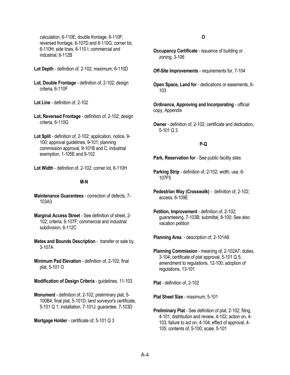calculation, 6-110E; double frontage, 6-110F; reversed frontage, 6-107D and 6-110G; corner lot, 6-110H; side lines, 6-110 I; commercial and industrial, 6-112B

**Lot Depth** - definition of, 2-102; maximum, 6-110D

**Lot, Double Frontage** - definition of, 2-102; design criteria, 6-110F

**Lot Line** - definition of, 2-102

- **Lot, Reversed Frontage** definition of, 2-102; design criteria, 6-110G
- **Lot Split** definition of, 2-102; application, notice, 9- 100; approval guidelines, 9-101; planning commission approval, 9-101B and C; industrial exemption, 1-105E and 9-102
- **Lot Width** definition of, 2-102; corner lot, 6-110H

#### **M-N**

- **Maintenance Guarantees** correction of defects, 7- 103A3
- **Marginal Access Street** See definition of street, 2- 102; criteria, 6-107F; commercial and industrial subdivision, 6-112C
- **Metes and Bounds Description** transfer or sale by, 3-107A
- **Minimum Pad Elevation** definition of, 2-102; final plat, 5-101 O
- **Modification of Design Criteria** guidelines, 11-103

**Monument** - definition of, 2-102; preliminary plat, 5- 100B4; final plat, 5-101D; land surveyor's certificate, 5-101 Q 1; installation, 7-101J; guarantee, 7-103D

**Mortgage Holder** - certificate of, 5-101 Q 3

#### **O**

- **Occupancy Certificate** issuance of building or zoning, 3-106
- **Off-Site Improvements** requirements for, 7-104
- **Open Space, Land for** dedications or easements, 6- 103

**Ordinance, Approving and Incorporating** - official copy, Appendix

**Owner** - definition of, 2-102; certificate and dedication, 5-101 Q 3

#### **P-Q**

- **Park, Reservation for** See public facility sites
- **Parking Strip** definition of, 2-102; width, use, 6- 107F5
- **Pedestrian Way (Crosswalk)** definition of, 2-102; access, 6-109E
- **Petition, Improvement** definition of, 2-102; guaranteeing, 7-103B; submittal, 8-100; See also vacation petition

**Planning Area** - description of, 2-101A9

**Planning Commission** - meaning of, 2-102A7; duties, 3-104; certificate of plat approval, 5-101 Q 5; amendment to regulations, 12-100; adoption of regulations, 13-101

**Plat** - definition of, 2-102

**Plat Sheet Size** - maximum, 5-101

**Preliminary Plat** - See definition of plat, 2-102; filing, 4-101; distribution and review, 4-102; action on, 4- 103; failure to act on, 4-104; effect of approval, 4- 105; contents of, 5-100; scale, 5-101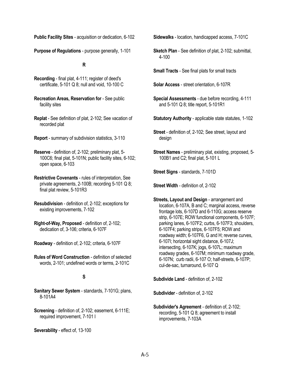**Public Facility Sites** - acquisition or dedication, 6-102

**Purpose of Regulations** - purpose generally, 1-101

#### **R**

- **Recording** final plat, 4-111; register of deed's certificate, 5-101 Q 8; null and void, 10-100 C
- **Recreation Areas, Reservation for** See public facility sites
- **Replat** See definition of plat, 2-102; See vacation of recorded plat
- **Report** summary of subdivision statistics, 3-110
- **Reserve** definition of, 2-102; preliminary plat, 5- 100C6; final plat, 5-101N; public facility sites, 6-102; open space, 6-103
- **Restrictive Covenants** rules of interpretation, See private agreements, 2-100B; recording 5-101 Q 8; final plat review, 5-101R3
- **Resubdivision** definition of, 2-102; exceptions for existing improvements, 7-102
- **Right-of-Way, Proposed** definition of, 2-102; dedication of, 3-106; criteria, 6-107F
- **Roadway** definition of, 2-102; criteria, 6-107F
- **Rules of Word Construction** definition of selected words, 2-101; undefined words or terms, 2-101C

#### **S**

- **Sanitary Sewer System** standards, 7-101G; plans, 8-101A4
- **Screening** definition of, 2-102; easement, 6-111E; required improvement, 7-101 I
- **Severability** effect of, 13-100

**Sidewalks** - location, handicapped access, 7-101C

- **Sketch Plan** See definition of plat, 2-102; submittal, 4-100
- **Small Tracts** See final plats for small tracts

**Solar Access** - street orientation, 6-107R

- **Special Assessments** due before recording, 4-111 and 5-101 Q 8; title report, 5-101R1
- **Statutory Authority** applicable state statutes, 1-102
- **Street** definition of, 2-102; See street, layout and design
- **Street Names** preliminary plat, existing, proposed, 5- 100B1 and C2; final plat, 5-101 L

**Street Signs** - standards, 7-101D

**Street Width** - definition of, 2-102

**Streets, Layout and Design** - arrangement and location, 6-107A, B and C; marginal access, reverse frontage lots, 6-107D and 6-110G; access reserve strip, 6-107E; ROW functional components, 6-107F; parking lanes, 6-107F2; curbs, 6-107F3; shoulders, 6-107F4; parking strips, 6-107F5; ROW and roadway width; 6-107F6, G and H; reverse curves, 6-107I; horizontal sight distance, 6-107J; intersecting, 6-107K; jogs, 6-107L; maximum roadway grades, 6-107M; minimum roadway grade, 6-107N; curb radii, 6-107 O; half-streets, 6-107P; cul-de-sac, turnaround, 6-107 Q

**Subdivide Land** - definition of, 2-102

**Subdivider** - definition of, 2-102

**Subdivider's Agreement** - definition of, 2-102; recording, 5-101 Q 8; agreement to install improvements, 7-103A